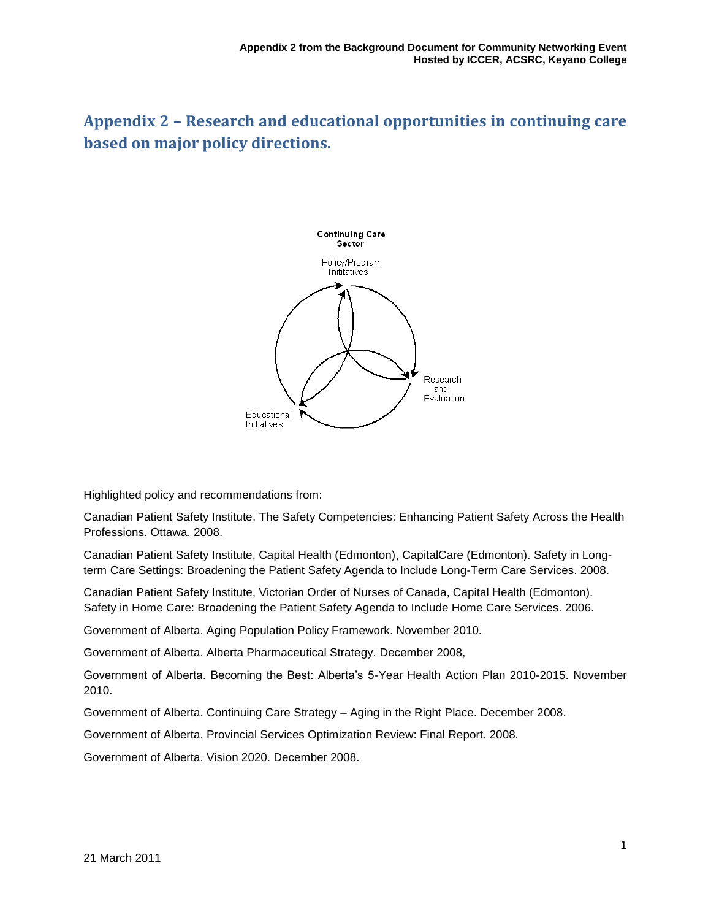## **Appendix 2 – Research and educational opportunities in continuing care based on major policy directions.**



Highlighted policy and recommendations from:

Canadian Patient Safety Institute. The Safety Competencies: Enhancing Patient Safety Across the Health Professions. Ottawa. 2008.

Canadian Patient Safety Institute, Capital Health (Edmonton), CapitalCare (Edmonton). Safety in Longterm Care Settings: Broadening the Patient Safety Agenda to Include Long-Term Care Services. 2008.

Canadian Patient Safety Institute, Victorian Order of Nurses of Canada, Capital Health (Edmonton). Safety in Home Care: Broadening the Patient Safety Agenda to Include Home Care Services. 2006.

Government of Alberta. Aging Population Policy Framework. November 2010.

Government of Alberta. Alberta Pharmaceutical Strategy. December 2008,

Government of Alberta. Becoming the Best: Alberta's 5-Year Health Action Plan 2010-2015. November 2010.

Government of Alberta. Continuing Care Strategy – Aging in the Right Place. December 2008.

Government of Alberta. Provincial Services Optimization Review: Final Report. 2008.

Government of Alberta. Vision 2020. December 2008.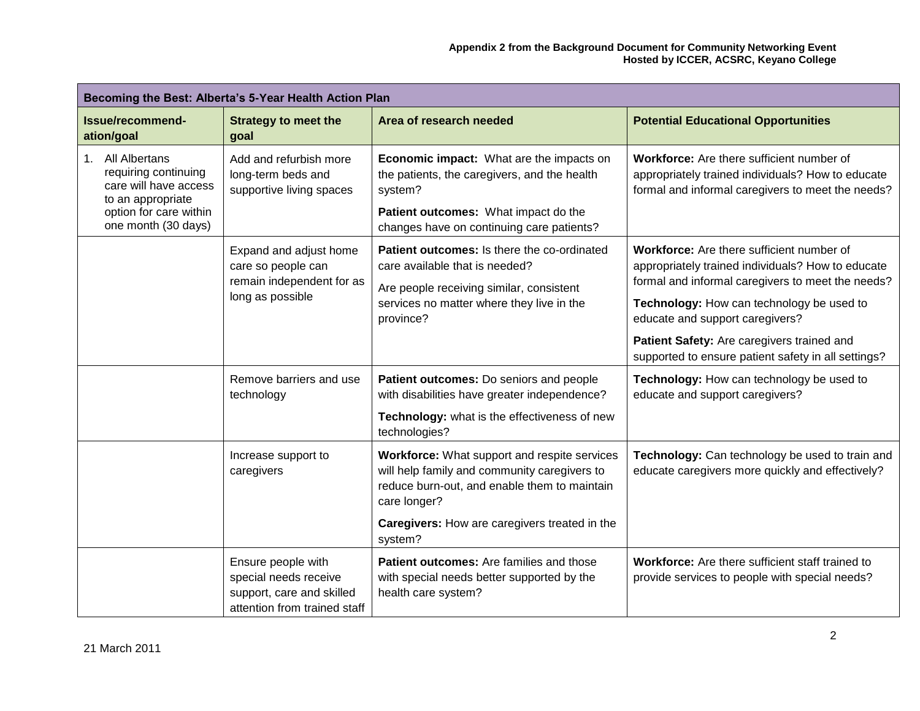| Becoming the Best: Alberta's 5-Year Health Action Plan                                                                                  |                                                                                                          |                                                                                                                                                                                                                          |                                                                                                                                                                                                                                                                                                                                          |
|-----------------------------------------------------------------------------------------------------------------------------------------|----------------------------------------------------------------------------------------------------------|--------------------------------------------------------------------------------------------------------------------------------------------------------------------------------------------------------------------------|------------------------------------------------------------------------------------------------------------------------------------------------------------------------------------------------------------------------------------------------------------------------------------------------------------------------------------------|
| Issue/recommend-<br>ation/goal                                                                                                          | <b>Strategy to meet the</b><br>goal                                                                      | Area of research needed                                                                                                                                                                                                  | <b>Potential Educational Opportunities</b>                                                                                                                                                                                                                                                                                               |
| 1. All Albertans<br>requiring continuing<br>care will have access<br>to an appropriate<br>option for care within<br>one month (30 days) | Add and refurbish more<br>long-term beds and<br>supportive living spaces                                 | Economic impact: What are the impacts on<br>the patients, the caregivers, and the health<br>system?<br>Patient outcomes: What impact do the<br>changes have on continuing care patients?                                 | Workforce: Are there sufficient number of<br>appropriately trained individuals? How to educate<br>formal and informal caregivers to meet the needs?                                                                                                                                                                                      |
|                                                                                                                                         | Expand and adjust home<br>care so people can<br>remain independent for as<br>long as possible            | Patient outcomes: Is there the co-ordinated<br>care available that is needed?<br>Are people receiving similar, consistent<br>services no matter where they live in the<br>province?                                      | Workforce: Are there sufficient number of<br>appropriately trained individuals? How to educate<br>formal and informal caregivers to meet the needs?<br>Technology: How can technology be used to<br>educate and support caregivers?<br>Patient Safety: Are caregivers trained and<br>supported to ensure patient safety in all settings? |
|                                                                                                                                         | Remove barriers and use<br>technology                                                                    | Patient outcomes: Do seniors and people<br>with disabilities have greater independence?<br>Technology: what is the effectiveness of new<br>technologies?                                                                 | Technology: How can technology be used to<br>educate and support caregivers?                                                                                                                                                                                                                                                             |
|                                                                                                                                         | Increase support to<br>caregivers                                                                        | Workforce: What support and respite services<br>will help family and community caregivers to<br>reduce burn-out, and enable them to maintain<br>care longer?<br>Caregivers: How are caregivers treated in the<br>system? | Technology: Can technology be used to train and<br>educate caregivers more quickly and effectively?                                                                                                                                                                                                                                      |
|                                                                                                                                         | Ensure people with<br>special needs receive<br>support, care and skilled<br>attention from trained staff | Patient outcomes: Are families and those<br>with special needs better supported by the<br>health care system?                                                                                                            | Workforce: Are there sufficient staff trained to<br>provide services to people with special needs?                                                                                                                                                                                                                                       |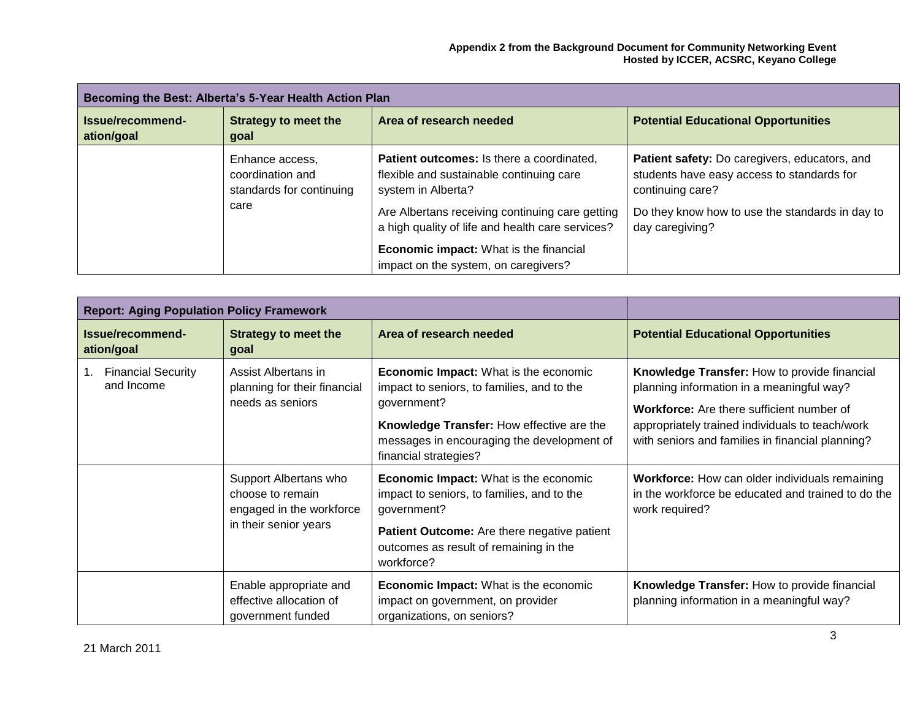| Becoming the Best: Alberta's 5-Year Health Action Plan |                                                                 |                                                                                                             |                                                                                                                 |  |
|--------------------------------------------------------|-----------------------------------------------------------------|-------------------------------------------------------------------------------------------------------------|-----------------------------------------------------------------------------------------------------------------|--|
| Issue/recommend-<br>ation/goal                         | <b>Strategy to meet the</b><br>goal                             | Area of research needed                                                                                     | <b>Potential Educational Opportunities</b>                                                                      |  |
|                                                        | Enhance access,<br>coordination and<br>standards for continuing | Patient outcomes: Is there a coordinated,<br>flexible and sustainable continuing care<br>system in Alberta? | Patient safety: Do caregivers, educators, and<br>students have easy access to standards for<br>continuing care? |  |
| care                                                   |                                                                 | Are Albertans receiving continuing care getting<br>a high quality of life and health care services?         | Do they know how to use the standards in day to<br>day caregiving?                                              |  |
|                                                        |                                                                 | <b>Economic impact:</b> What is the financial<br>impact on the system, on caregivers?                       |                                                                                                                 |  |

| <b>Report: Aging Population Policy Framework</b> |                                                                                                  |                                                                                                                                                                                                                                                                               |                                                                                                                                                                                                                                                                                                               |
|--------------------------------------------------|--------------------------------------------------------------------------------------------------|-------------------------------------------------------------------------------------------------------------------------------------------------------------------------------------------------------------------------------------------------------------------------------|---------------------------------------------------------------------------------------------------------------------------------------------------------------------------------------------------------------------------------------------------------------------------------------------------------------|
| Issue/recommend-<br>ation/goal                   | <b>Strategy to meet the</b><br>goal                                                              | Area of research needed                                                                                                                                                                                                                                                       | <b>Potential Educational Opportunities</b>                                                                                                                                                                                                                                                                    |
| <b>Financial Security</b><br>and Income          | Assist Albertans in<br>planning for their financial<br>needs as seniors<br>Support Albertans who | <b>Economic Impact:</b> What is the economic<br>impact to seniors, to families, and to the<br>government?<br>Knowledge Transfer: How effective are the<br>messages in encouraging the development of<br>financial strategies?<br><b>Economic Impact:</b> What is the economic | Knowledge Transfer: How to provide financial<br>planning information in a meaningful way?<br><b>Workforce:</b> Are there sufficient number of<br>appropriately trained individuals to teach/work<br>with seniors and families in financial planning?<br><b>Workforce:</b> How can older individuals remaining |
|                                                  | choose to remain<br>engaged in the workforce<br>in their senior years                            | impact to seniors, to families, and to the<br>government?<br><b>Patient Outcome:</b> Are there negative patient<br>outcomes as result of remaining in the<br>workforce?                                                                                                       | in the workforce be educated and trained to do the<br>work required?                                                                                                                                                                                                                                          |
|                                                  | Enable appropriate and<br>effective allocation of<br>government funded                           | <b>Economic Impact:</b> What is the economic<br>impact on government, on provider<br>organizations, on seniors?                                                                                                                                                               | Knowledge Transfer: How to provide financial<br>planning information in a meaningful way?                                                                                                                                                                                                                     |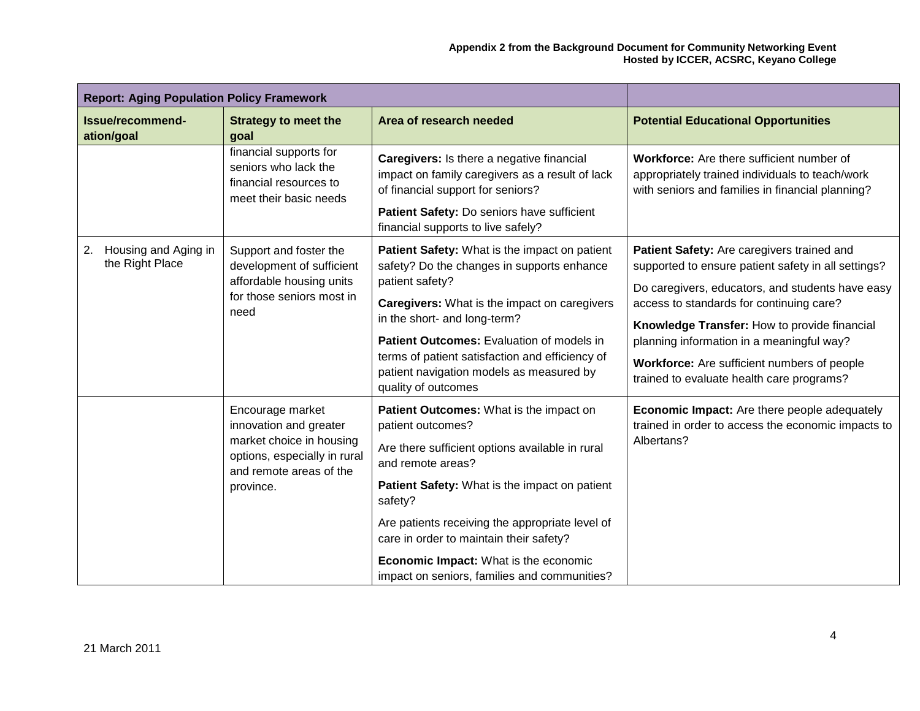| <b>Report: Aging Population Policy Framework</b>                                                   |                                                                                                                                   |                                                                                                                                                                 |                                                                                                                                                       |
|----------------------------------------------------------------------------------------------------|-----------------------------------------------------------------------------------------------------------------------------------|-----------------------------------------------------------------------------------------------------------------------------------------------------------------|-------------------------------------------------------------------------------------------------------------------------------------------------------|
| Issue/recommend-<br>ation/goal                                                                     | <b>Strategy to meet the</b><br>goal                                                                                               | Area of research needed                                                                                                                                         | <b>Potential Educational Opportunities</b>                                                                                                            |
| financial supports for<br>seniors who lack the<br>financial resources to<br>meet their basic needs | Caregivers: Is there a negative financial<br>impact on family caregivers as a result of lack<br>of financial support for seniors? | Workforce: Are there sufficient number of<br>appropriately trained individuals to teach/work<br>with seniors and families in financial planning?                |                                                                                                                                                       |
|                                                                                                    |                                                                                                                                   | Patient Safety: Do seniors have sufficient<br>financial supports to live safely?                                                                                |                                                                                                                                                       |
| Housing and Aging in<br>2.<br>the Right Place                                                      | Support and foster the<br>development of sufficient<br>affordable housing units<br>for those seniors most in<br>need              | Patient Safety: What is the impact on patient<br>safety? Do the changes in supports enhance<br>patient safety?                                                  | Patient Safety: Are caregivers trained and<br>supported to ensure patient safety in all settings?<br>Do caregivers, educators, and students have easy |
|                                                                                                    |                                                                                                                                   | <b>Caregivers:</b> What is the impact on caregivers<br>in the short- and long-term?                                                                             | access to standards for continuing care?<br>Knowledge Transfer: How to provide financial                                                              |
|                                                                                                    |                                                                                                                                   | Patient Outcomes: Evaluation of models in<br>terms of patient satisfaction and efficiency of<br>patient navigation models as measured by<br>quality of outcomes | planning information in a meaningful way?<br>Workforce: Are sufficient numbers of people<br>trained to evaluate health care programs?                 |
|                                                                                                    | Encourage market<br>innovation and greater                                                                                        | Patient Outcomes: What is the impact on<br>patient outcomes?                                                                                                    | Economic Impact: Are there people adequately<br>trained in order to access the economic impacts to                                                    |
|                                                                                                    | market choice in housing<br>options, especially in rural<br>and remote areas of the<br>province.                                  | Are there sufficient options available in rural<br>and remote areas?                                                                                            | Albertans?                                                                                                                                            |
|                                                                                                    |                                                                                                                                   | Patient Safety: What is the impact on patient<br>safety?                                                                                                        |                                                                                                                                                       |
|                                                                                                    |                                                                                                                                   | Are patients receiving the appropriate level of<br>care in order to maintain their safety?                                                                      |                                                                                                                                                       |
|                                                                                                    |                                                                                                                                   | <b>Economic Impact:</b> What is the economic<br>impact on seniors, families and communities?                                                                    |                                                                                                                                                       |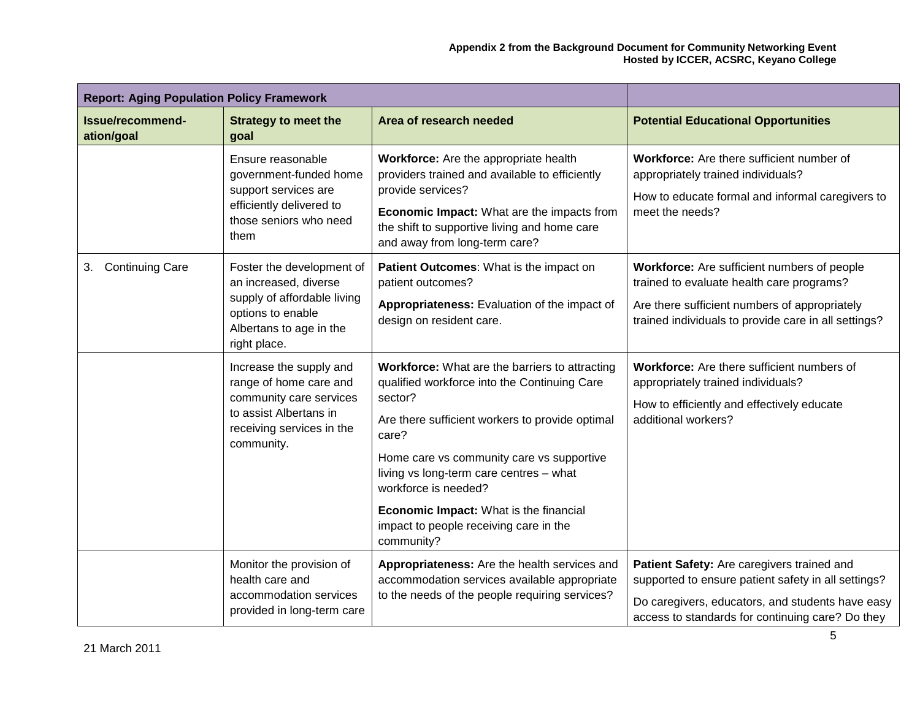| <b>Report: Aging Population Policy Framework</b> |                                                                                                                                                   |                                                                                                                                                                                                                                                                                                                                                                                         |                                                                                                                                                                                                           |
|--------------------------------------------------|---------------------------------------------------------------------------------------------------------------------------------------------------|-----------------------------------------------------------------------------------------------------------------------------------------------------------------------------------------------------------------------------------------------------------------------------------------------------------------------------------------------------------------------------------------|-----------------------------------------------------------------------------------------------------------------------------------------------------------------------------------------------------------|
| Issue/recommend-<br>ation/goal                   | <b>Strategy to meet the</b><br>goal                                                                                                               | Area of research needed                                                                                                                                                                                                                                                                                                                                                                 | <b>Potential Educational Opportunities</b>                                                                                                                                                                |
|                                                  | Ensure reasonable<br>government-funded home<br>support services are<br>efficiently delivered to<br>those seniors who need<br>them                 | Workforce: Are the appropriate health<br>providers trained and available to efficiently<br>provide services?<br>Economic Impact: What are the impacts from<br>the shift to supportive living and home care<br>and away from long-term care?                                                                                                                                             | Workforce: Are there sufficient number of<br>appropriately trained individuals?<br>How to educate formal and informal caregivers to<br>meet the needs?                                                    |
| <b>Continuing Care</b><br>3.                     | Foster the development of<br>an increased, diverse<br>supply of affordable living<br>options to enable<br>Albertans to age in the<br>right place. | Patient Outcomes: What is the impact on<br>patient outcomes?<br>Appropriateness: Evaluation of the impact of<br>design on resident care.                                                                                                                                                                                                                                                | Workforce: Are sufficient numbers of people<br>trained to evaluate health care programs?<br>Are there sufficient numbers of appropriately<br>trained individuals to provide care in all settings?         |
|                                                  | Increase the supply and<br>range of home care and<br>community care services<br>to assist Albertans in<br>receiving services in the<br>community. | Workforce: What are the barriers to attracting<br>qualified workforce into the Continuing Care<br>sector?<br>Are there sufficient workers to provide optimal<br>care?<br>Home care vs community care vs supportive<br>living vs long-term care centres - what<br>workforce is needed?<br>Economic Impact: What is the financial<br>impact to people receiving care in the<br>community? | Workforce: Are there sufficient numbers of<br>appropriately trained individuals?<br>How to efficiently and effectively educate<br>additional workers?                                                     |
|                                                  | Monitor the provision of<br>health care and<br>accommodation services<br>provided in long-term care                                               | Appropriateness: Are the health services and<br>accommodation services available appropriate<br>to the needs of the people requiring services?                                                                                                                                                                                                                                          | Patient Safety: Are caregivers trained and<br>supported to ensure patient safety in all settings?<br>Do caregivers, educators, and students have easy<br>access to standards for continuing care? Do they |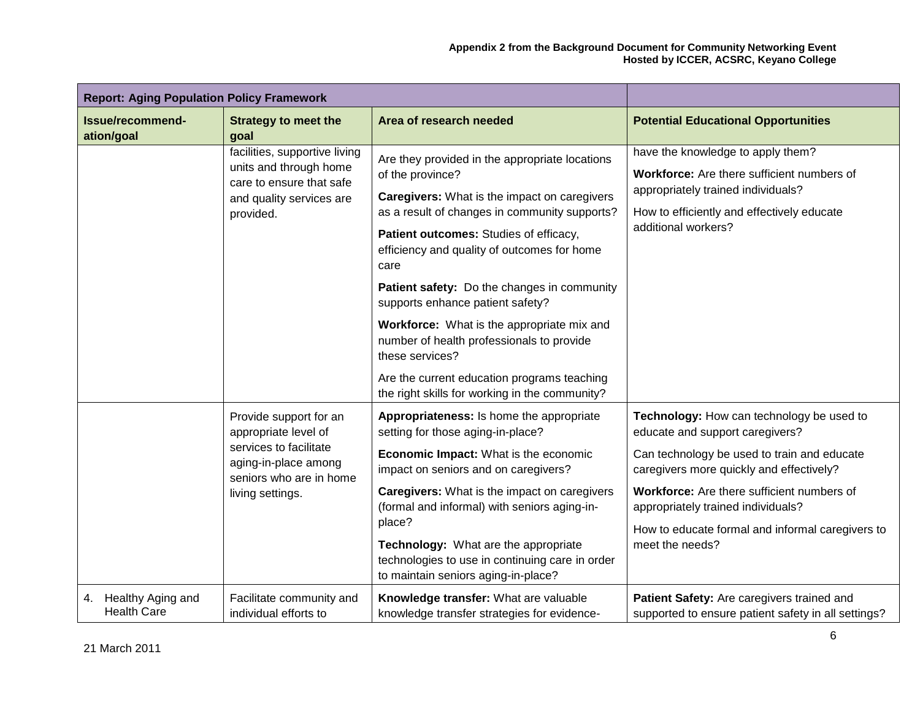| <b>Report: Aging Population Policy Framework</b> |                                                                                                                                                 |                                                                                                                                                                                                                                                                                                                                                                                                                                                                                                                                                                        |                                                                                                                                                                                                                                                                                                                                    |
|--------------------------------------------------|-------------------------------------------------------------------------------------------------------------------------------------------------|------------------------------------------------------------------------------------------------------------------------------------------------------------------------------------------------------------------------------------------------------------------------------------------------------------------------------------------------------------------------------------------------------------------------------------------------------------------------------------------------------------------------------------------------------------------------|------------------------------------------------------------------------------------------------------------------------------------------------------------------------------------------------------------------------------------------------------------------------------------------------------------------------------------|
| Issue/recommend-<br>ation/goal                   | <b>Strategy to meet the</b><br>goal                                                                                                             | Area of research needed                                                                                                                                                                                                                                                                                                                                                                                                                                                                                                                                                | <b>Potential Educational Opportunities</b>                                                                                                                                                                                                                                                                                         |
|                                                  | facilities, supportive living<br>units and through home<br>care to ensure that safe<br>and quality services are<br>provided.                    | Are they provided in the appropriate locations<br>of the province?<br>Caregivers: What is the impact on caregivers<br>as a result of changes in community supports?<br>Patient outcomes: Studies of efficacy,<br>efficiency and quality of outcomes for home<br>care<br>Patient safety: Do the changes in community<br>supports enhance patient safety?<br>Workforce: What is the appropriate mix and<br>number of health professionals to provide<br>these services?<br>Are the current education programs teaching<br>the right skills for working in the community? | have the knowledge to apply them?<br>Workforce: Are there sufficient numbers of<br>appropriately trained individuals?<br>How to efficiently and effectively educate<br>additional workers?                                                                                                                                         |
|                                                  | Provide support for an<br>appropriate level of<br>services to facilitate<br>aging-in-place among<br>seniors who are in home<br>living settings. | Appropriateness: Is home the appropriate<br>setting for those aging-in-place?<br>Economic Impact: What is the economic<br>impact on seniors and on caregivers?<br><b>Caregivers:</b> What is the impact on caregivers<br>(formal and informal) with seniors aging-in-<br>place?<br>Technology: What are the appropriate<br>technologies to use in continuing care in order<br>to maintain seniors aging-in-place?                                                                                                                                                      | Technology: How can technology be used to<br>educate and support caregivers?<br>Can technology be used to train and educate<br>caregivers more quickly and effectively?<br>Workforce: Are there sufficient numbers of<br>appropriately trained individuals?<br>How to educate formal and informal caregivers to<br>meet the needs? |
| Healthy Aging and<br>4.<br><b>Health Care</b>    | Facilitate community and<br>individual efforts to                                                                                               | Knowledge transfer: What are valuable<br>knowledge transfer strategies for evidence-                                                                                                                                                                                                                                                                                                                                                                                                                                                                                   | Patient Safety: Are caregivers trained and<br>supported to ensure patient safety in all settings?                                                                                                                                                                                                                                  |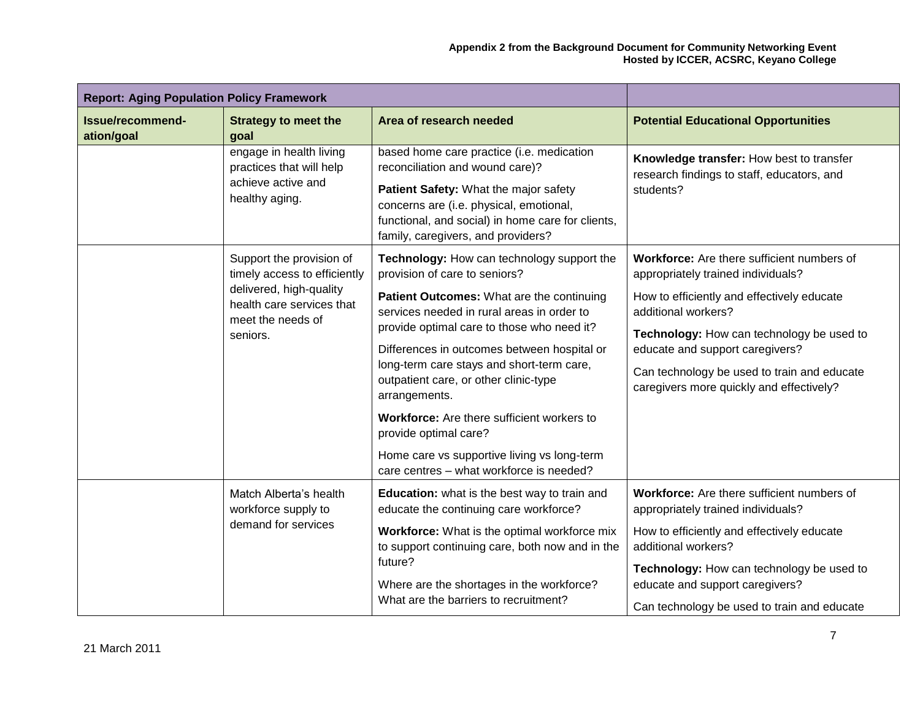| <b>Report: Aging Population Policy Framework</b> |                                                                                             |                                                                                                                                                                                                                                                             |                                                                                                                                                                         |
|--------------------------------------------------|---------------------------------------------------------------------------------------------|-------------------------------------------------------------------------------------------------------------------------------------------------------------------------------------------------------------------------------------------------------------|-------------------------------------------------------------------------------------------------------------------------------------------------------------------------|
| Issue/recommend-<br>ation/goal                   | <b>Strategy to meet the</b><br>goal                                                         | Area of research needed                                                                                                                                                                                                                                     | <b>Potential Educational Opportunities</b>                                                                                                                              |
|                                                  | engage in health living<br>practices that will help<br>achieve active and<br>healthy aging. | based home care practice (i.e. medication<br>reconciliation and wound care)?<br>Patient Safety: What the major safety<br>concerns are (i.e. physical, emotional,<br>functional, and social) in home care for clients,<br>family, caregivers, and providers? | Knowledge transfer: How best to transfer<br>research findings to staff, educators, and<br>students?                                                                     |
|                                                  | Support the provision of<br>timely access to efficiently                                    | Technology: How can technology support the<br>provision of care to seniors?                                                                                                                                                                                 | Workforce: Are there sufficient numbers of<br>appropriately trained individuals?                                                                                        |
|                                                  | delivered, high-quality<br>health care services that<br>meet the needs of<br>seniors.       | Patient Outcomes: What are the continuing<br>services needed in rural areas in order to                                                                                                                                                                     | How to efficiently and effectively educate<br>additional workers?                                                                                                       |
|                                                  |                                                                                             | provide optimal care to those who need it?<br>Differences in outcomes between hospital or<br>long-term care stays and short-term care,<br>outpatient care, or other clinic-type<br>arrangements.                                                            | Technology: How can technology be used to<br>educate and support caregivers?<br>Can technology be used to train and educate<br>caregivers more quickly and effectively? |
|                                                  |                                                                                             | <b>Workforce:</b> Are there sufficient workers to<br>provide optimal care?                                                                                                                                                                                  |                                                                                                                                                                         |
|                                                  |                                                                                             | Home care vs supportive living vs long-term<br>care centres - what workforce is needed?                                                                                                                                                                     |                                                                                                                                                                         |
|                                                  | Match Alberta's health<br>workforce supply to                                               | Education: what is the best way to train and<br>educate the continuing care workforce?                                                                                                                                                                      | Workforce: Are there sufficient numbers of<br>appropriately trained individuals?                                                                                        |
|                                                  | demand for services                                                                         | Workforce: What is the optimal workforce mix<br>to support continuing care, both now and in the                                                                                                                                                             | How to efficiently and effectively educate<br>additional workers?                                                                                                       |
|                                                  |                                                                                             | future?<br>Where are the shortages in the workforce?<br>What are the barriers to recruitment?                                                                                                                                                               | Technology: How can technology be used to<br>educate and support caregivers?<br>Can technology be used to train and educate                                             |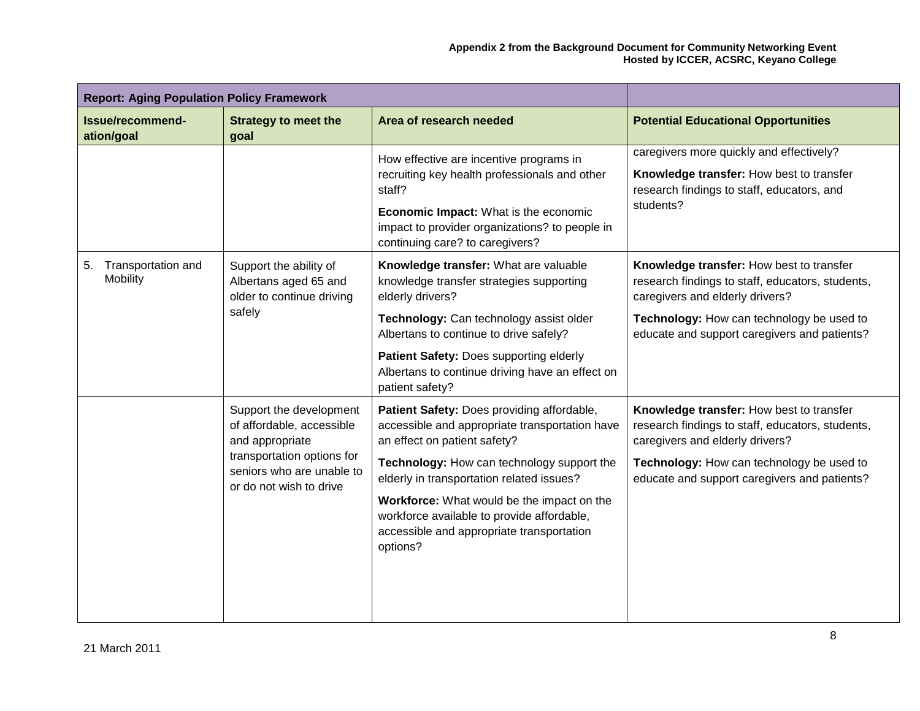| <b>Report: Aging Population Policy Framework</b> |                                                                                                                                                               |                                                                                                                                                                                                                                                                                                                                                                              |                                                                                                                                                                                                                              |
|--------------------------------------------------|---------------------------------------------------------------------------------------------------------------------------------------------------------------|------------------------------------------------------------------------------------------------------------------------------------------------------------------------------------------------------------------------------------------------------------------------------------------------------------------------------------------------------------------------------|------------------------------------------------------------------------------------------------------------------------------------------------------------------------------------------------------------------------------|
| Issue/recommend-<br>ation/goal                   | <b>Strategy to meet the</b><br>goal                                                                                                                           | Area of research needed                                                                                                                                                                                                                                                                                                                                                      | <b>Potential Educational Opportunities</b>                                                                                                                                                                                   |
|                                                  |                                                                                                                                                               | How effective are incentive programs in<br>recruiting key health professionals and other<br>staff?<br>Economic Impact: What is the economic<br>impact to provider organizations? to people in<br>continuing care? to caregivers?                                                                                                                                             | caregivers more quickly and effectively?<br>Knowledge transfer: How best to transfer<br>research findings to staff, educators, and<br>students?                                                                              |
| Transportation and<br>5.<br>Mobility             | Support the ability of<br>Albertans aged 65 and<br>older to continue driving<br>safely                                                                        | Knowledge transfer: What are valuable<br>knowledge transfer strategies supporting<br>elderly drivers?<br>Technology: Can technology assist older<br>Albertans to continue to drive safely?<br>Patient Safety: Does supporting elderly<br>Albertans to continue driving have an effect on<br>patient safety?                                                                  | Knowledge transfer: How best to transfer<br>research findings to staff, educators, students,<br>caregivers and elderly drivers?<br>Technology: How can technology be used to<br>educate and support caregivers and patients? |
|                                                  | Support the development<br>of affordable, accessible<br>and appropriate<br>transportation options for<br>seniors who are unable to<br>or do not wish to drive | Patient Safety: Does providing affordable,<br>accessible and appropriate transportation have<br>an effect on patient safety?<br>Technology: How can technology support the<br>elderly in transportation related issues?<br>Workforce: What would be the impact on the<br>workforce available to provide affordable,<br>accessible and appropriate transportation<br>options? | Knowledge transfer: How best to transfer<br>research findings to staff, educators, students,<br>caregivers and elderly drivers?<br>Technology: How can technology be used to<br>educate and support caregivers and patients? |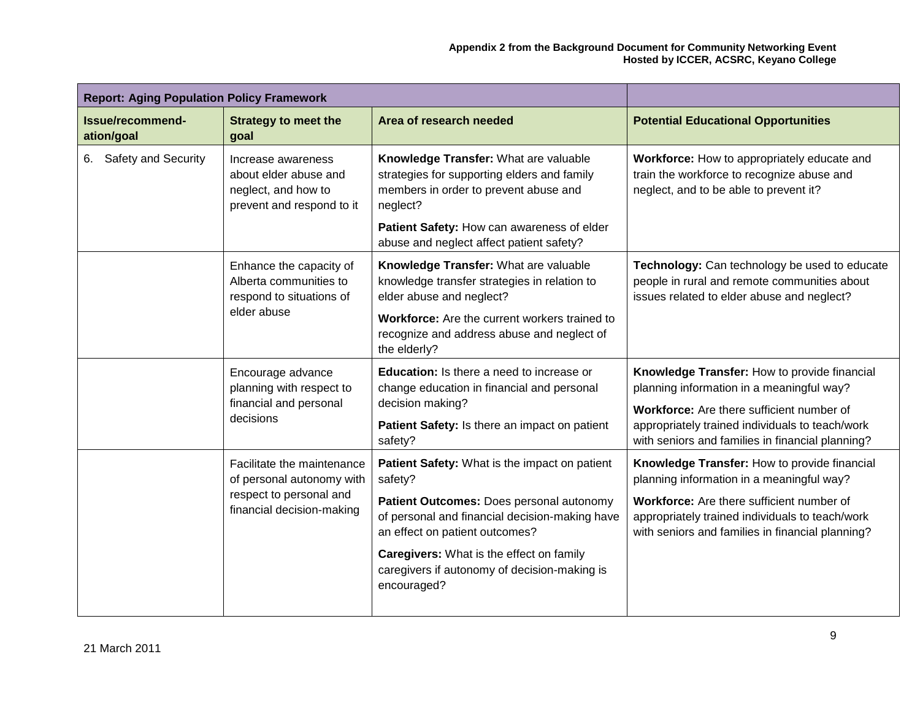| <b>Report: Aging Population Policy Framework</b> |                                                                                                                 |                                                                                                                                                                                                                                                                                                            |                                                                                                                                                                                                                                               |
|--------------------------------------------------|-----------------------------------------------------------------------------------------------------------------|------------------------------------------------------------------------------------------------------------------------------------------------------------------------------------------------------------------------------------------------------------------------------------------------------------|-----------------------------------------------------------------------------------------------------------------------------------------------------------------------------------------------------------------------------------------------|
| Issue/recommend-<br>ation/goal                   | <b>Strategy to meet the</b><br>goal                                                                             | Area of research needed                                                                                                                                                                                                                                                                                    | <b>Potential Educational Opportunities</b>                                                                                                                                                                                                    |
| 6. Safety and Security                           | Increase awareness<br>about elder abuse and<br>neglect, and how to<br>prevent and respond to it                 | Knowledge Transfer: What are valuable<br>strategies for supporting elders and family<br>members in order to prevent abuse and<br>neglect?                                                                                                                                                                  | Workforce: How to appropriately educate and<br>train the workforce to recognize abuse and<br>neglect, and to be able to prevent it?                                                                                                           |
|                                                  |                                                                                                                 | Patient Safety: How can awareness of elder<br>abuse and neglect affect patient safety?                                                                                                                                                                                                                     |                                                                                                                                                                                                                                               |
|                                                  | Enhance the capacity of<br>Alberta communities to<br>respond to situations of<br>elder abuse                    | Knowledge Transfer: What are valuable<br>knowledge transfer strategies in relation to<br>elder abuse and neglect?<br>Workforce: Are the current workers trained to<br>recognize and address abuse and neglect of<br>the elderly?                                                                           | Technology: Can technology be used to educate<br>people in rural and remote communities about<br>issues related to elder abuse and neglect?                                                                                                   |
|                                                  | Encourage advance<br>planning with respect to<br>financial and personal<br>decisions                            | Education: Is there a need to increase or<br>change education in financial and personal<br>decision making?<br>Patient Safety: Is there an impact on patient<br>safety?                                                                                                                                    | Knowledge Transfer: How to provide financial<br>planning information in a meaningful way?<br>Workforce: Are there sufficient number of<br>appropriately trained individuals to teach/work<br>with seniors and families in financial planning? |
|                                                  | Facilitate the maintenance<br>of personal autonomy with<br>respect to personal and<br>financial decision-making | Patient Safety: What is the impact on patient<br>safety?<br>Patient Outcomes: Does personal autonomy<br>of personal and financial decision-making have<br>an effect on patient outcomes?<br><b>Caregivers:</b> What is the effect on family<br>caregivers if autonomy of decision-making is<br>encouraged? | Knowledge Transfer: How to provide financial<br>planning information in a meaningful way?<br>Workforce: Are there sufficient number of<br>appropriately trained individuals to teach/work<br>with seniors and families in financial planning? |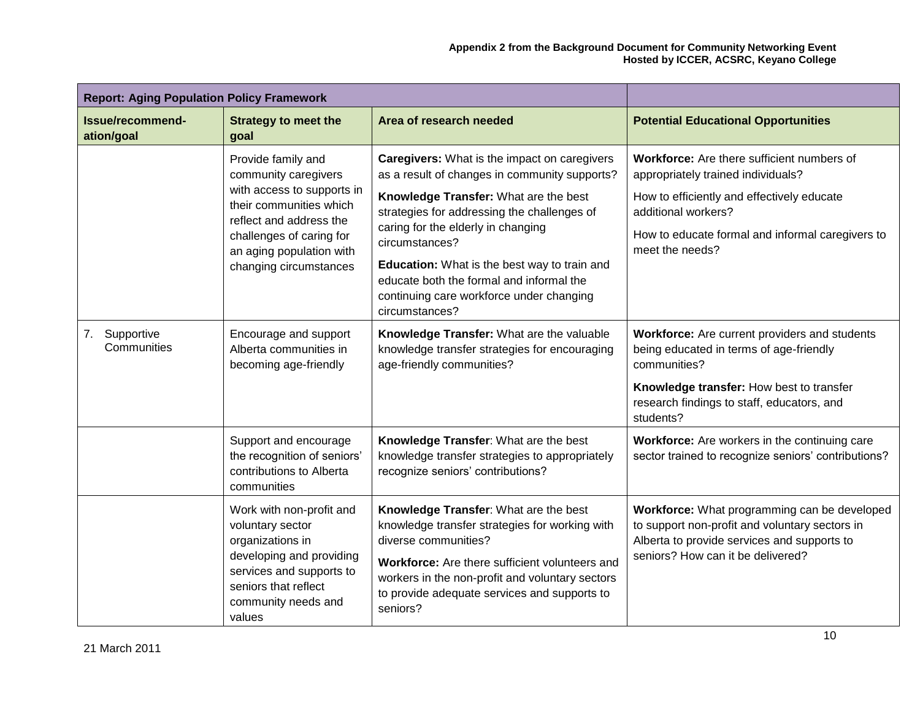| <b>Report: Aging Population Policy Framework</b> |                                                                                                                                                                                                                  |                                                                                                                                                                                                                                                                                                                                                                                                         |                                                                                                                                                                                                                              |
|--------------------------------------------------|------------------------------------------------------------------------------------------------------------------------------------------------------------------------------------------------------------------|---------------------------------------------------------------------------------------------------------------------------------------------------------------------------------------------------------------------------------------------------------------------------------------------------------------------------------------------------------------------------------------------------------|------------------------------------------------------------------------------------------------------------------------------------------------------------------------------------------------------------------------------|
| Issue/recommend-<br>ation/goal                   | <b>Strategy to meet the</b><br>goal                                                                                                                                                                              | Area of research needed                                                                                                                                                                                                                                                                                                                                                                                 | <b>Potential Educational Opportunities</b>                                                                                                                                                                                   |
|                                                  | Provide family and<br>community caregivers<br>with access to supports in<br>their communities which<br>reflect and address the<br>challenges of caring for<br>an aging population with<br>changing circumstances | Caregivers: What is the impact on caregivers<br>as a result of changes in community supports?<br>Knowledge Transfer: What are the best<br>strategies for addressing the challenges of<br>caring for the elderly in changing<br>circumstances?<br>Education: What is the best way to train and<br>educate both the formal and informal the<br>continuing care workforce under changing<br>circumstances? | Workforce: Are there sufficient numbers of<br>appropriately trained individuals?<br>How to efficiently and effectively educate<br>additional workers?<br>How to educate formal and informal caregivers to<br>meet the needs? |
| Supportive<br>7.<br>Communities                  | Encourage and support<br>Alberta communities in<br>becoming age-friendly                                                                                                                                         | Knowledge Transfer: What are the valuable<br>knowledge transfer strategies for encouraging<br>age-friendly communities?                                                                                                                                                                                                                                                                                 | Workforce: Are current providers and students<br>being educated in terms of age-friendly<br>communities?<br>Knowledge transfer: How best to transfer<br>research findings to staff, educators, and<br>students?              |
|                                                  | Support and encourage<br>the recognition of seniors'<br>contributions to Alberta<br>communities                                                                                                                  | Knowledge Transfer: What are the best<br>knowledge transfer strategies to appropriately<br>recognize seniors' contributions?                                                                                                                                                                                                                                                                            | Workforce: Are workers in the continuing care<br>sector trained to recognize seniors' contributions?                                                                                                                         |
|                                                  | Work with non-profit and<br>voluntary sector<br>organizations in<br>developing and providing<br>services and supports to<br>seniors that reflect<br>community needs and<br>values                                | Knowledge Transfer: What are the best<br>knowledge transfer strategies for working with<br>diverse communities?<br>Workforce: Are there sufficient volunteers and<br>workers in the non-profit and voluntary sectors<br>to provide adequate services and supports to<br>seniors?                                                                                                                        | Workforce: What programming can be developed<br>to support non-profit and voluntary sectors in<br>Alberta to provide services and supports to<br>seniors? How can it be delivered?                                           |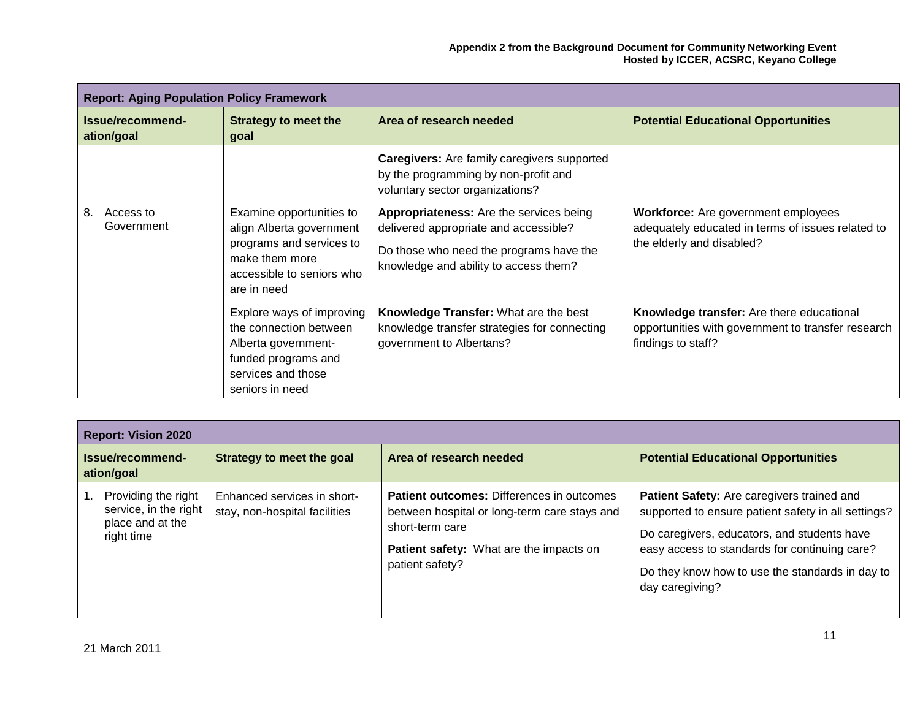| <b>Report: Aging Population Policy Framework</b> |                                                                                                                                                |                                                                                                                                                                             |                                                                                                                              |
|--------------------------------------------------|------------------------------------------------------------------------------------------------------------------------------------------------|-----------------------------------------------------------------------------------------------------------------------------------------------------------------------------|------------------------------------------------------------------------------------------------------------------------------|
| Issue/recommend-<br>ation/goal                   | <b>Strategy to meet the</b><br>goal                                                                                                            | Area of research needed                                                                                                                                                     | <b>Potential Educational Opportunities</b>                                                                                   |
|                                                  |                                                                                                                                                | <b>Caregivers:</b> Are family caregivers supported<br>by the programming by non-profit and<br>voluntary sector organizations?                                               |                                                                                                                              |
| 8.<br>Access to<br>Government                    | Examine opportunities to<br>align Alberta government<br>programs and services to<br>make them more<br>accessible to seniors who<br>are in need | <b>Appropriateness:</b> Are the services being<br>delivered appropriate and accessible?<br>Do those who need the programs have the<br>knowledge and ability to access them? | <b>Workforce:</b> Are government employees<br>adequately educated in terms of issues related to<br>the elderly and disabled? |
|                                                  | Explore ways of improving<br>the connection between<br>Alberta government-<br>funded programs and<br>services and those<br>seniors in need     | <b>Knowledge Transfer: What are the best</b><br>knowledge transfer strategies for connecting<br>government to Albertans?                                                    | Knowledge transfer: Are there educational<br>opportunities with government to transfer research<br>findings to staff?        |

| <b>Report: Vision 2020</b>                                                     |                                                              |                                                                                                                                                                                   |                                                                                                                                                                                                                                                                                |
|--------------------------------------------------------------------------------|--------------------------------------------------------------|-----------------------------------------------------------------------------------------------------------------------------------------------------------------------------------|--------------------------------------------------------------------------------------------------------------------------------------------------------------------------------------------------------------------------------------------------------------------------------|
| Issue/recommend-<br>ation/goal                                                 | Strategy to meet the goal                                    | Area of research needed                                                                                                                                                           | <b>Potential Educational Opportunities</b>                                                                                                                                                                                                                                     |
| Providing the right<br>service, in the right<br>place and at the<br>right time | Enhanced services in short-<br>stay, non-hospital facilities | <b>Patient outcomes:</b> Differences in outcomes<br>between hospital or long-term care stays and<br>short-term care<br>Patient safety: What are the impacts on<br>patient safety? | <b>Patient Safety:</b> Are caregivers trained and<br>supported to ensure patient safety in all settings?<br>Do caregivers, educators, and students have<br>easy access to standards for continuing care?<br>Do they know how to use the standards in day to<br>day caregiving? |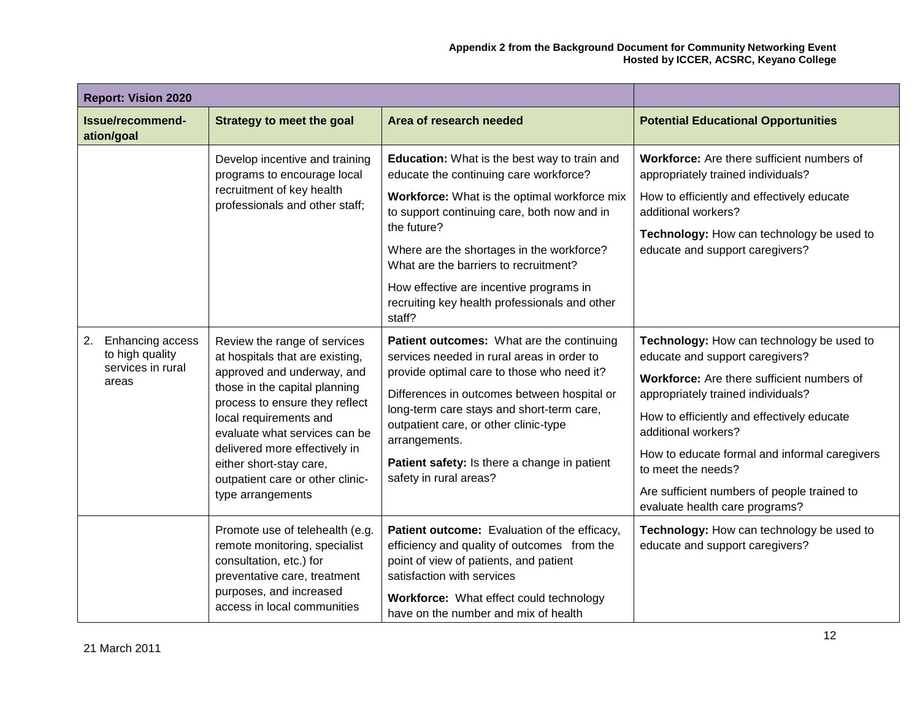| <b>Report: Vision 2020</b>                                              |                                                                                                                                                                                                                                                                                                                                                  |                                                                                                                                                                                                                                                                                                                                                                                                         |                                                                                                                                                                                                                                                                                                                                                                                               |
|-------------------------------------------------------------------------|--------------------------------------------------------------------------------------------------------------------------------------------------------------------------------------------------------------------------------------------------------------------------------------------------------------------------------------------------|---------------------------------------------------------------------------------------------------------------------------------------------------------------------------------------------------------------------------------------------------------------------------------------------------------------------------------------------------------------------------------------------------------|-----------------------------------------------------------------------------------------------------------------------------------------------------------------------------------------------------------------------------------------------------------------------------------------------------------------------------------------------------------------------------------------------|
| Issue/recommend-<br>ation/goal                                          | <b>Strategy to meet the goal</b>                                                                                                                                                                                                                                                                                                                 | Area of research needed                                                                                                                                                                                                                                                                                                                                                                                 | <b>Potential Educational Opportunities</b>                                                                                                                                                                                                                                                                                                                                                    |
|                                                                         | Develop incentive and training<br>programs to encourage local<br>recruitment of key health<br>professionals and other staff;                                                                                                                                                                                                                     | <b>Education:</b> What is the best way to train and<br>educate the continuing care workforce?<br>Workforce: What is the optimal workforce mix<br>to support continuing care, both now and in<br>the future?<br>Where are the shortages in the workforce?<br>What are the barriers to recruitment?<br>How effective are incentive programs in<br>recruiting key health professionals and other<br>staff? | <b>Workforce:</b> Are there sufficient numbers of<br>appropriately trained individuals?<br>How to efficiently and effectively educate<br>additional workers?<br>Technology: How can technology be used to<br>educate and support caregivers?                                                                                                                                                  |
| Enhancing access<br>2.<br>to high quality<br>services in rural<br>areas | Review the range of services<br>at hospitals that are existing,<br>approved and underway, and<br>those in the capital planning<br>process to ensure they reflect<br>local requirements and<br>evaluate what services can be<br>delivered more effectively in<br>either short-stay care,<br>outpatient care or other clinic-<br>type arrangements | Patient outcomes: What are the continuing<br>services needed in rural areas in order to<br>provide optimal care to those who need it?<br>Differences in outcomes between hospital or<br>long-term care stays and short-term care,<br>outpatient care, or other clinic-type<br>arrangements.<br>Patient safety: Is there a change in patient<br>safety in rural areas?                                   | Technology: How can technology be used to<br>educate and support caregivers?<br>Workforce: Are there sufficient numbers of<br>appropriately trained individuals?<br>How to efficiently and effectively educate<br>additional workers?<br>How to educate formal and informal caregivers<br>to meet the needs?<br>Are sufficient numbers of people trained to<br>evaluate health care programs? |
|                                                                         | Promote use of telehealth (e.g.<br>remote monitoring, specialist<br>consultation, etc.) for<br>preventative care, treatment<br>purposes, and increased<br>access in local communities                                                                                                                                                            | Patient outcome: Evaluation of the efficacy,<br>efficiency and quality of outcomes from the<br>point of view of patients, and patient<br>satisfaction with services<br>Workforce: What effect could technology<br>have on the number and mix of health                                                                                                                                                  | Technology: How can technology be used to<br>educate and support caregivers?                                                                                                                                                                                                                                                                                                                  |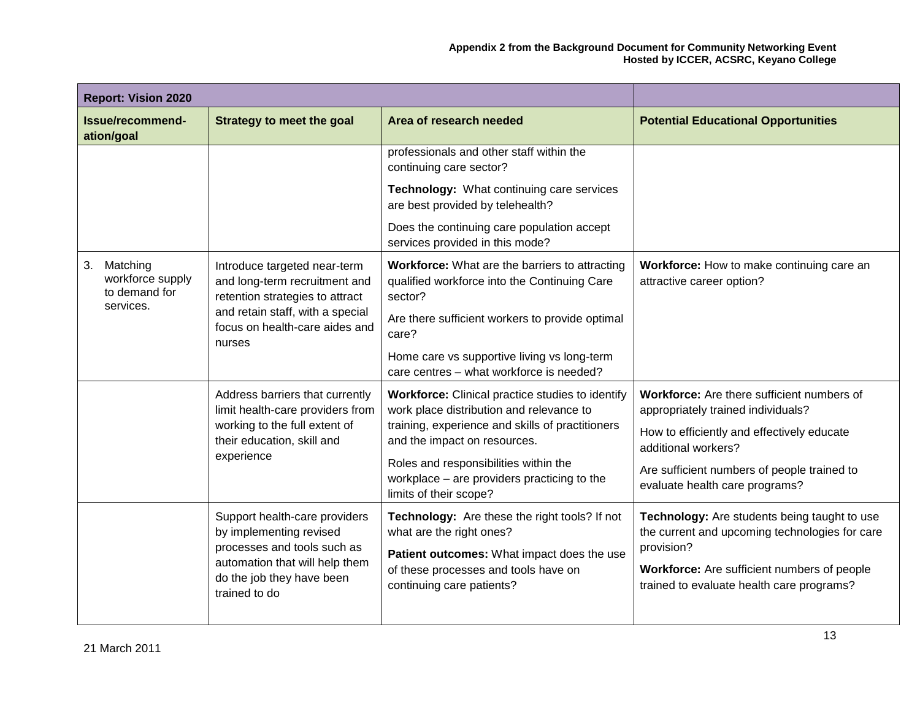| <b>Report: Vision 2020</b>                                       |                                                                                                                                    |                                                                                                                                                                                  |                                                                                                |
|------------------------------------------------------------------|------------------------------------------------------------------------------------------------------------------------------------|----------------------------------------------------------------------------------------------------------------------------------------------------------------------------------|------------------------------------------------------------------------------------------------|
| Issue/recommend-<br>ation/goal                                   | <b>Strategy to meet the goal</b>                                                                                                   | Area of research needed                                                                                                                                                          | <b>Potential Educational Opportunities</b>                                                     |
|                                                                  |                                                                                                                                    | professionals and other staff within the<br>continuing care sector?                                                                                                              |                                                                                                |
|                                                                  |                                                                                                                                    | Technology: What continuing care services<br>are best provided by telehealth?                                                                                                    |                                                                                                |
|                                                                  |                                                                                                                                    | Does the continuing care population accept<br>services provided in this mode?                                                                                                    |                                                                                                |
| Matching<br>3.<br>workforce supply<br>to demand for<br>services. | Introduce targeted near-term<br>and long-term recruitment and<br>retention strategies to attract                                   | Workforce: What are the barriers to attracting<br>qualified workforce into the Continuing Care<br>sector?                                                                        | Workforce: How to make continuing care an<br>attractive career option?                         |
|                                                                  | and retain staff, with a special<br>focus on health-care aides and<br>nurses                                                       | Are there sufficient workers to provide optimal<br>care?                                                                                                                         |                                                                                                |
|                                                                  |                                                                                                                                    | Home care vs supportive living vs long-term<br>care centres - what workforce is needed?                                                                                          |                                                                                                |
|                                                                  | Address barriers that currently<br>limit health-care providers from<br>working to the full extent of<br>their education, skill and | Workforce: Clinical practice studies to identify<br>work place distribution and relevance to<br>training, experience and skills of practitioners<br>and the impact on resources. | Workforce: Are there sufficient numbers of<br>appropriately trained individuals?               |
|                                                                  |                                                                                                                                    |                                                                                                                                                                                  | How to efficiently and effectively educate<br>additional workers?                              |
|                                                                  | experience                                                                                                                         | Roles and responsibilities within the<br>workplace - are providers practicing to the<br>limits of their scope?                                                                   | Are sufficient numbers of people trained to<br>evaluate health care programs?                  |
|                                                                  | Support health-care providers<br>by implementing revised                                                                           | Technology: Are these the right tools? If not<br>what are the right ones?                                                                                                        | Technology: Are students being taught to use<br>the current and upcoming technologies for care |
|                                                                  | processes and tools such as<br>automation that will help them                                                                      | Patient outcomes: What impact does the use                                                                                                                                       | provision?                                                                                     |
|                                                                  | do the job they have been<br>trained to do                                                                                         | of these processes and tools have on<br>continuing care patients?                                                                                                                | Workforce: Are sufficient numbers of people<br>trained to evaluate health care programs?       |
|                                                                  |                                                                                                                                    |                                                                                                                                                                                  |                                                                                                |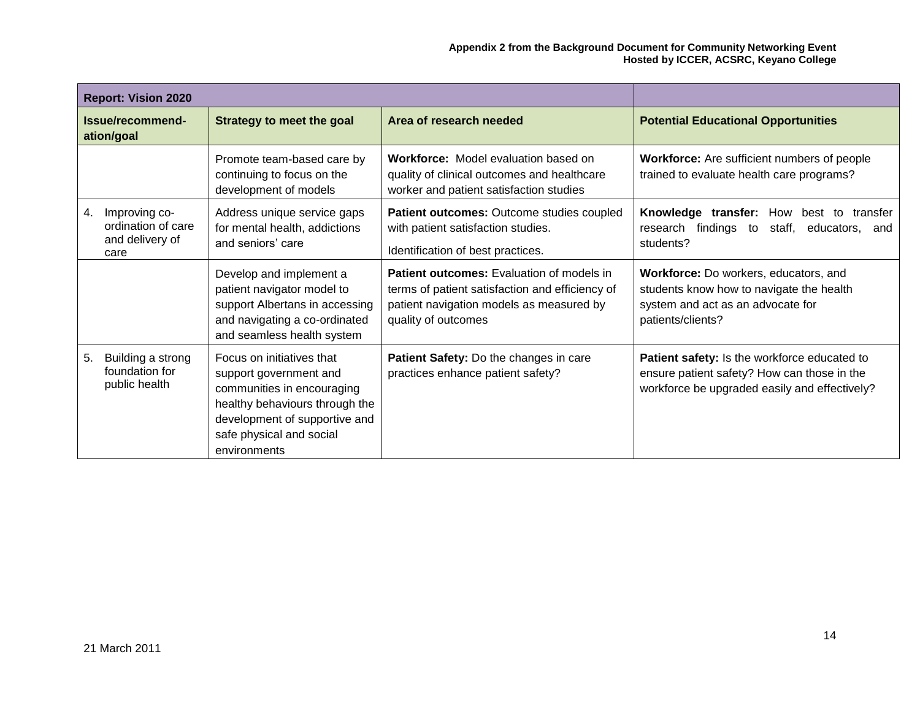| <b>Report: Vision 2020</b>                                           |                                                                                                                                                                                                  |                                                                                                                                                                        |                                                                                                                                              |
|----------------------------------------------------------------------|--------------------------------------------------------------------------------------------------------------------------------------------------------------------------------------------------|------------------------------------------------------------------------------------------------------------------------------------------------------------------------|----------------------------------------------------------------------------------------------------------------------------------------------|
| Issue/recommend-<br>ation/goal                                       | <b>Strategy to meet the goal</b>                                                                                                                                                                 | Area of research needed                                                                                                                                                | <b>Potential Educational Opportunities</b>                                                                                                   |
|                                                                      | Promote team-based care by<br>continuing to focus on the<br>development of models                                                                                                                | <b>Workforce:</b> Model evaluation based on<br>quality of clinical outcomes and healthcare<br>worker and patient satisfaction studies                                  | Workforce: Are sufficient numbers of people<br>trained to evaluate health care programs?                                                     |
| Improving co-<br>4.<br>ordination of care<br>and delivery of<br>care | Address unique service gaps<br>for mental health, addictions<br>and seniors' care                                                                                                                | Patient outcomes: Outcome studies coupled<br>with patient satisfaction studies.<br>Identification of best practices.                                                   | Knowledge transfer: How<br>best<br>to<br>transfer<br>research findings<br>staff,<br>to<br>educators,<br>and<br>students?                     |
|                                                                      | Develop and implement a<br>patient navigator model to<br>support Albertans in accessing<br>and navigating a co-ordinated<br>and seamless health system                                           | <b>Patient outcomes:</b> Evaluation of models in<br>terms of patient satisfaction and efficiency of<br>patient navigation models as measured by<br>quality of outcomes | Workforce: Do workers, educators, and<br>students know how to navigate the health<br>system and act as an advocate for<br>patients/clients?  |
| Building a strong<br>5.<br>foundation for<br>public health           | Focus on initiatives that<br>support government and<br>communities in encouraging<br>healthy behaviours through the<br>development of supportive and<br>safe physical and social<br>environments | Patient Safety: Do the changes in care<br>practices enhance patient safety?                                                                                            | Patient safety: Is the workforce educated to<br>ensure patient safety? How can those in the<br>workforce be upgraded easily and effectively? |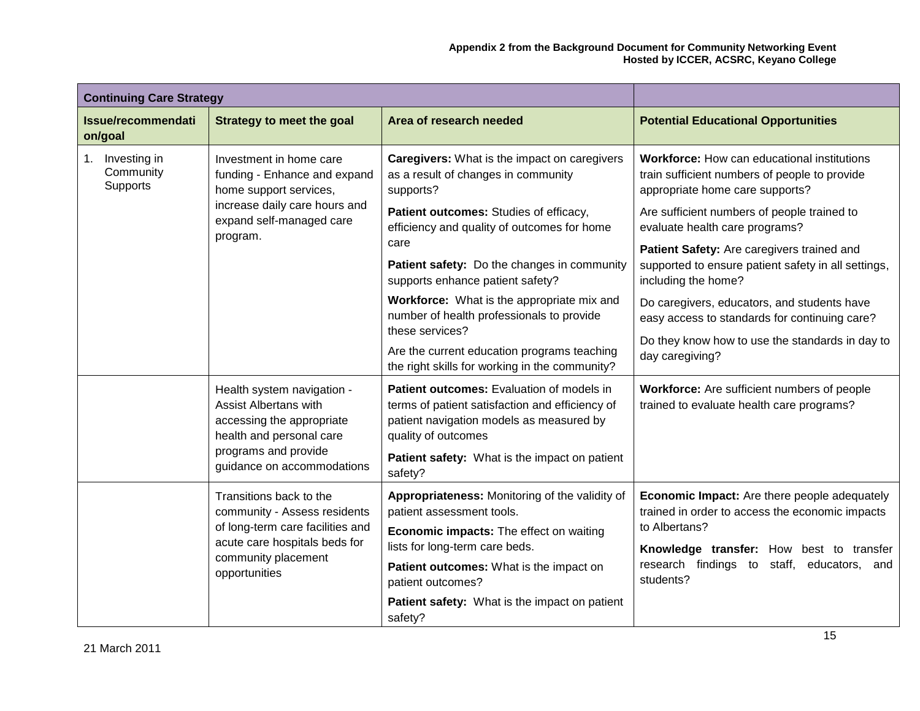| <b>Continuing Care Strategy</b>          |                                                                                                                     |                                                                                                                                                                        |                                                                                                                                        |
|------------------------------------------|---------------------------------------------------------------------------------------------------------------------|------------------------------------------------------------------------------------------------------------------------------------------------------------------------|----------------------------------------------------------------------------------------------------------------------------------------|
| <b>Issue/recommendati</b><br>on/goal     | Strategy to meet the goal                                                                                           | Area of research needed                                                                                                                                                | <b>Potential Educational Opportunities</b>                                                                                             |
| 1. Investing in<br>Community<br>Supports | Investment in home care<br>funding - Enhance and expand<br>home support services,                                   | <b>Caregivers:</b> What is the impact on caregivers<br>as a result of changes in community<br>supports?                                                                | <b>Workforce:</b> How can educational institutions<br>train sufficient numbers of people to provide<br>appropriate home care supports? |
|                                          | increase daily care hours and<br>expand self-managed care<br>program.                                               | Patient outcomes: Studies of efficacy,<br>efficiency and quality of outcomes for home                                                                                  | Are sufficient numbers of people trained to<br>evaluate health care programs?                                                          |
|                                          |                                                                                                                     | care<br>Patient safety: Do the changes in community<br>supports enhance patient safety?                                                                                | Patient Safety: Are caregivers trained and<br>supported to ensure patient safety in all settings,<br>including the home?               |
|                                          |                                                                                                                     | Workforce: What is the appropriate mix and<br>number of health professionals to provide                                                                                | Do caregivers, educators, and students have<br>easy access to standards for continuing care?                                           |
|                                          |                                                                                                                     | these services?<br>Are the current education programs teaching<br>the right skills for working in the community?                                                       | Do they know how to use the standards in day to<br>day caregiving?                                                                     |
|                                          | Health system navigation -<br><b>Assist Albertans with</b><br>accessing the appropriate<br>health and personal care | <b>Patient outcomes:</b> Evaluation of models in<br>terms of patient satisfaction and efficiency of<br>patient navigation models as measured by<br>quality of outcomes | Workforce: Are sufficient numbers of people<br>trained to evaluate health care programs?                                               |
|                                          | programs and provide<br>guidance on accommodations                                                                  | Patient safety: What is the impact on patient<br>safety?                                                                                                               |                                                                                                                                        |
|                                          | Transitions back to the<br>community - Assess residents                                                             | Appropriateness: Monitoring of the validity of<br>patient assessment tools.                                                                                            | <b>Economic Impact:</b> Are there people adequately<br>trained in order to access the economic impacts                                 |
|                                          | of long-term care facilities and<br>acute care hospitals beds for                                                   | <b>Economic impacts:</b> The effect on waiting<br>lists for long-term care beds.                                                                                       | to Albertans?<br>Knowledge transfer: How best to transfer                                                                              |
|                                          | community placement<br>opportunities                                                                                | Patient outcomes: What is the impact on<br>patient outcomes?                                                                                                           | research findings to staff, educators, and<br>students?                                                                                |
|                                          |                                                                                                                     | Patient safety: What is the impact on patient<br>safety?                                                                                                               |                                                                                                                                        |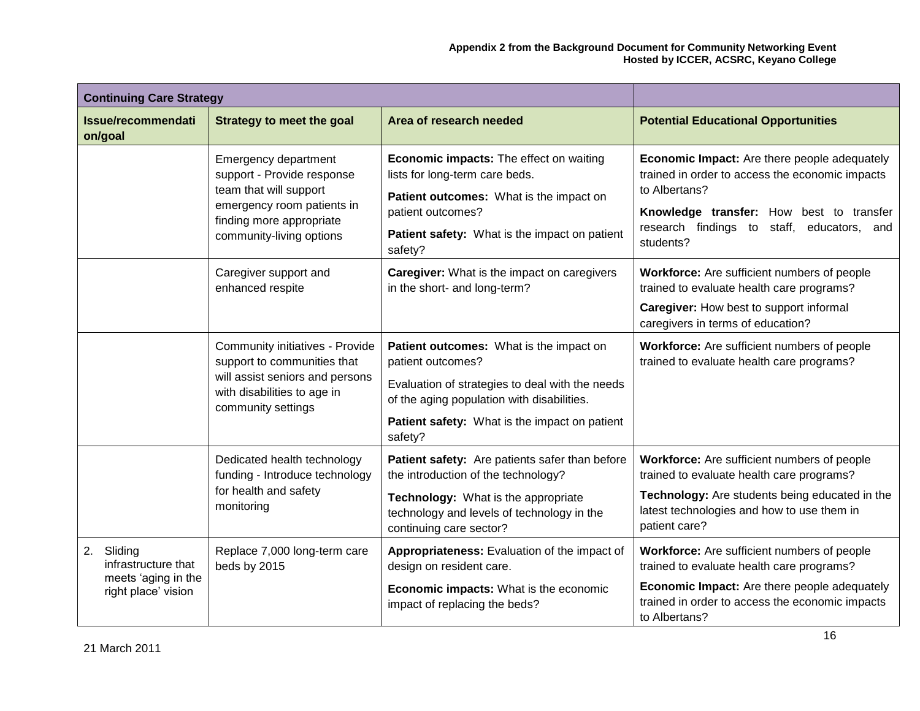| <b>Continuing Care Strategy</b>                                                    |                                                                                                                                                                    |                                                                                                                                                                                                                           |                                                                                                                                                                                                                                |
|------------------------------------------------------------------------------------|--------------------------------------------------------------------------------------------------------------------------------------------------------------------|---------------------------------------------------------------------------------------------------------------------------------------------------------------------------------------------------------------------------|--------------------------------------------------------------------------------------------------------------------------------------------------------------------------------------------------------------------------------|
| Issue/recommendati<br>on/goal                                                      | Strategy to meet the goal                                                                                                                                          | Area of research needed                                                                                                                                                                                                   | <b>Potential Educational Opportunities</b>                                                                                                                                                                                     |
|                                                                                    | Emergency department<br>support - Provide response<br>team that will support<br>emergency room patients in<br>finding more appropriate<br>community-living options | <b>Economic impacts:</b> The effect on waiting<br>lists for long-term care beds.<br>Patient outcomes: What is the impact on<br>patient outcomes?<br>Patient safety: What is the impact on patient<br>safety?              | <b>Economic Impact:</b> Are there people adequately<br>trained in order to access the economic impacts<br>to Albertans?<br>Knowledge transfer: How best to transfer<br>research findings to staff, educators, and<br>students? |
|                                                                                    | Caregiver support and<br>enhanced respite                                                                                                                          | Caregiver: What is the impact on caregivers<br>in the short- and long-term?                                                                                                                                               | Workforce: Are sufficient numbers of people<br>trained to evaluate health care programs?<br>Caregiver: How best to support informal<br>caregivers in terms of education?                                                       |
|                                                                                    | <b>Community initiatives - Provide</b><br>support to communities that<br>will assist seniors and persons<br>with disabilities to age in<br>community settings      | Patient outcomes: What is the impact on<br>patient outcomes?<br>Evaluation of strategies to deal with the needs<br>of the aging population with disabilities.<br>Patient safety: What is the impact on patient<br>safety? | Workforce: Are sufficient numbers of people<br>trained to evaluate health care programs?                                                                                                                                       |
|                                                                                    | Dedicated health technology<br>funding - Introduce technology<br>for health and safety<br>monitoring                                                               | Patient safety: Are patients safer than before<br>the introduction of the technology?<br>Technology: What is the appropriate<br>technology and levels of technology in the<br>continuing care sector?                     | Workforce: Are sufficient numbers of people<br>trained to evaluate health care programs?<br>Technology: Are students being educated in the<br>latest technologies and how to use them in<br>patient care?                      |
| 2.<br>Sliding<br>infrastructure that<br>meets 'aging in the<br>right place' vision | Replace 7,000 long-term care<br>beds by 2015                                                                                                                       | Appropriateness: Evaluation of the impact of<br>design on resident care.<br>Economic impacts: What is the economic<br>impact of replacing the beds?                                                                       | Workforce: Are sufficient numbers of people<br>trained to evaluate health care programs?<br>Economic Impact: Are there people adequately<br>trained in order to access the economic impacts<br>to Albertans?                   |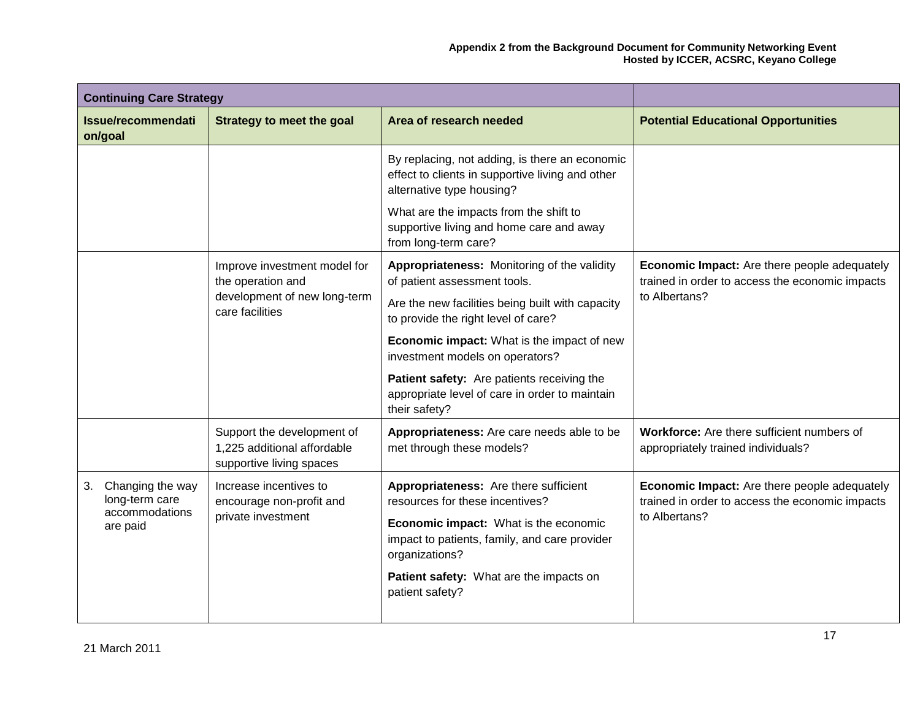| <b>Continuing Care Strategy</b>          |                                                                                                        |                                                                                                                                 |                                                                                                                  |
|------------------------------------------|--------------------------------------------------------------------------------------------------------|---------------------------------------------------------------------------------------------------------------------------------|------------------------------------------------------------------------------------------------------------------|
| Issue/recommendati<br>on/goal            | Strategy to meet the goal                                                                              | Area of research needed                                                                                                         | <b>Potential Educational Opportunities</b>                                                                       |
|                                          |                                                                                                        | By replacing, not adding, is there an economic<br>effect to clients in supportive living and other<br>alternative type housing? |                                                                                                                  |
|                                          |                                                                                                        | What are the impacts from the shift to<br>supportive living and home care and away<br>from long-term care?                      |                                                                                                                  |
|                                          | Improve investment model for<br>the operation and                                                      | Appropriateness: Monitoring of the validity<br>of patient assessment tools.                                                     | Economic Impact: Are there people adequately<br>trained in order to access the economic impacts                  |
|                                          | development of new long-term<br>care facilities                                                        | Are the new facilities being built with capacity<br>to provide the right level of care?                                         | to Albertans?                                                                                                    |
|                                          |                                                                                                        | <b>Economic impact:</b> What is the impact of new<br>investment models on operators?                                            |                                                                                                                  |
|                                          |                                                                                                        | Patient safety: Are patients receiving the<br>appropriate level of care in order to maintain<br>their safety?                   |                                                                                                                  |
|                                          | Support the development of<br>1,225 additional affordable<br>supportive living spaces                  | Appropriateness: Are care needs able to be<br>met through these models?                                                         | Workforce: Are there sufficient numbers of<br>appropriately trained individuals?                                 |
| Changing the way<br>3.<br>long-term care | Increase incentives to<br>encourage non-profit and<br>accommodations<br>private investment<br>are paid | Appropriateness: Are there sufficient<br>resources for these incentives?                                                        | Economic Impact: Are there people adequately<br>trained in order to access the economic impacts<br>to Albertans? |
|                                          |                                                                                                        | Economic impact: What is the economic<br>impact to patients, family, and care provider<br>organizations?                        |                                                                                                                  |
|                                          |                                                                                                        | Patient safety: What are the impacts on<br>patient safety?                                                                      |                                                                                                                  |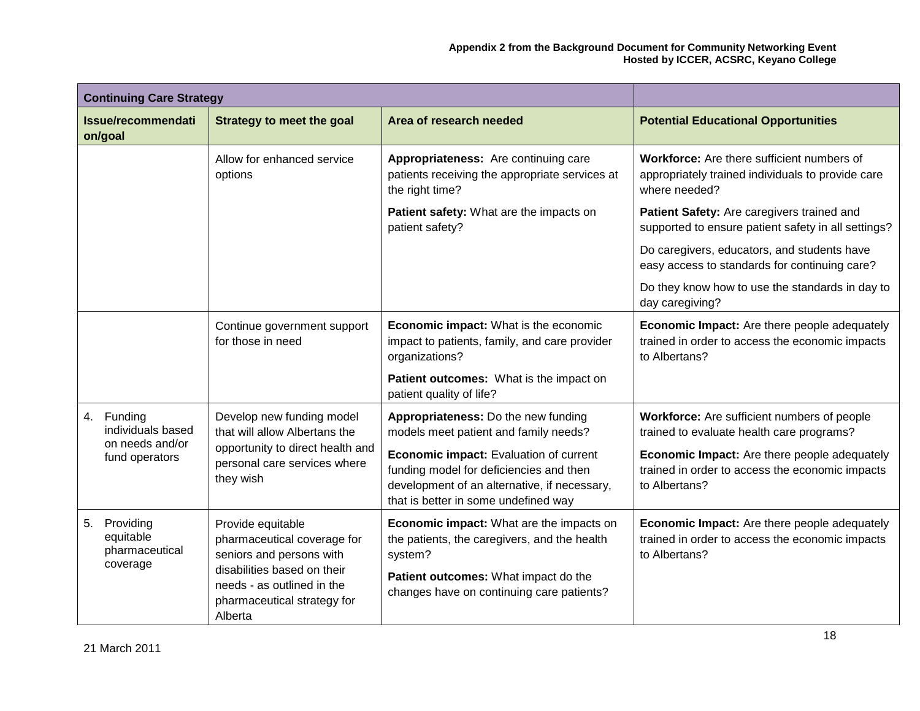| <b>Continuing Care Strategy</b>                |                                                                                                     |                                                                                                                                                                           |                                                                                                                  |
|------------------------------------------------|-----------------------------------------------------------------------------------------------------|---------------------------------------------------------------------------------------------------------------------------------------------------------------------------|------------------------------------------------------------------------------------------------------------------|
| Issue/recommendati<br>on/goal                  | <b>Strategy to meet the goal</b>                                                                    | Area of research needed                                                                                                                                                   | <b>Potential Educational Opportunities</b>                                                                       |
|                                                | Allow for enhanced service<br>options                                                               | Appropriateness: Are continuing care<br>patients receiving the appropriate services at<br>the right time?                                                                 | Workforce: Are there sufficient numbers of<br>appropriately trained individuals to provide care<br>where needed? |
|                                                |                                                                                                     | Patient safety: What are the impacts on<br>patient safety?                                                                                                                | Patient Safety: Are caregivers trained and<br>supported to ensure patient safety in all settings?                |
|                                                |                                                                                                     |                                                                                                                                                                           | Do caregivers, educators, and students have<br>easy access to standards for continuing care?                     |
|                                                |                                                                                                     |                                                                                                                                                                           | Do they know how to use the standards in day to<br>day caregiving?                                               |
|                                                | Continue government support<br>for those in need                                                    | Economic impact: What is the economic<br>impact to patients, family, and care provider<br>organizations?                                                                  | Economic Impact: Are there people adequately<br>trained in order to access the economic impacts<br>to Albertans? |
|                                                |                                                                                                     | Patient outcomes: What is the impact on<br>patient quality of life?                                                                                                       |                                                                                                                  |
| 4. Funding<br>individuals based                | Develop new funding model<br>that will allow Albertans the                                          | Appropriateness: Do the new funding<br>models meet patient and family needs?                                                                                              | Workforce: Are sufficient numbers of people<br>trained to evaluate health care programs?                         |
| on needs and/or<br>fund operators              | opportunity to direct health and<br>personal care services where<br>they wish                       | Economic impact: Evaluation of current<br>funding model for deficiencies and then<br>development of an alternative, if necessary,<br>that is better in some undefined way | Economic Impact: Are there people adequately<br>trained in order to access the economic impacts<br>to Albertans? |
| 5.<br>Providing<br>equitable<br>pharmaceutical | Provide equitable<br>pharmaceutical coverage for<br>seniors and persons with                        | Economic impact: What are the impacts on<br>the patients, the caregivers, and the health<br>system?                                                                       | Economic Impact: Are there people adequately<br>trained in order to access the economic impacts<br>to Albertans? |
| coverage                                       | disabilities based on their<br>needs - as outlined in the<br>pharmaceutical strategy for<br>Alberta | Patient outcomes: What impact do the<br>changes have on continuing care patients?                                                                                         |                                                                                                                  |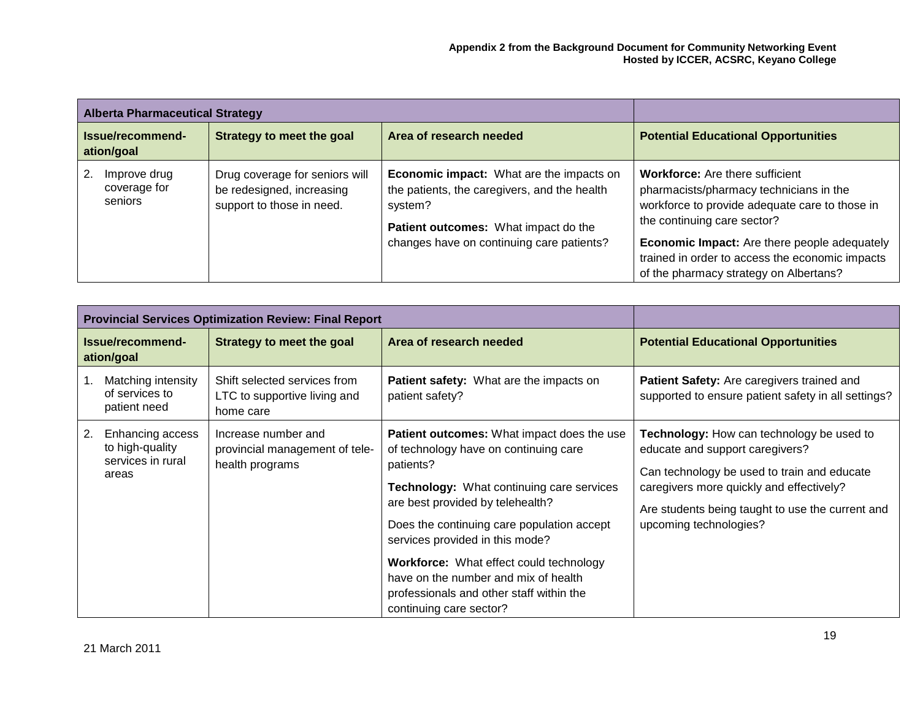| <b>Alberta Pharmaceutical Strategy</b>        |                                                                                          |                                                                                                                                                                                                 |                                                                                                                                                                                                                                                                                                                        |
|-----------------------------------------------|------------------------------------------------------------------------------------------|-------------------------------------------------------------------------------------------------------------------------------------------------------------------------------------------------|------------------------------------------------------------------------------------------------------------------------------------------------------------------------------------------------------------------------------------------------------------------------------------------------------------------------|
| Issue/recommend-<br>ation/goal                | Strategy to meet the goal                                                                | Area of research needed                                                                                                                                                                         | <b>Potential Educational Opportunities</b>                                                                                                                                                                                                                                                                             |
| 2.<br>Improve drug<br>coverage for<br>seniors | Drug coverage for seniors will<br>be redesigned, increasing<br>support to those in need. | <b>Economic impact:</b> What are the impacts on<br>the patients, the caregivers, and the health<br>system?<br>Patient outcomes: What impact do the<br>changes have on continuing care patients? | <b>Workforce:</b> Are there sufficient<br>pharmacists/pharmacy technicians in the<br>workforce to provide adequate care to those in<br>the continuing care sector?<br><b>Economic Impact:</b> Are there people adequately<br>trained in order to access the economic impacts<br>of the pharmacy strategy on Albertans? |

|    |                                                                   | <b>Provincial Services Optimization Review: Final Report</b>              |                                                                                                                                                                                                                                                                                                                                                                                                                                                   |                                                                                                                                                                                                                                                       |
|----|-------------------------------------------------------------------|---------------------------------------------------------------------------|---------------------------------------------------------------------------------------------------------------------------------------------------------------------------------------------------------------------------------------------------------------------------------------------------------------------------------------------------------------------------------------------------------------------------------------------------|-------------------------------------------------------------------------------------------------------------------------------------------------------------------------------------------------------------------------------------------------------|
|    | Issue/recommend-<br>ation/goal                                    | Strategy to meet the goal                                                 | Area of research needed                                                                                                                                                                                                                                                                                                                                                                                                                           | <b>Potential Educational Opportunities</b>                                                                                                                                                                                                            |
|    | Matching intensity<br>of services to<br>patient need              | Shift selected services from<br>LTC to supportive living and<br>home care | Patient safety: What are the impacts on<br>patient safety?                                                                                                                                                                                                                                                                                                                                                                                        | Patient Safety: Are caregivers trained and<br>supported to ensure patient safety in all settings?                                                                                                                                                     |
| 2. | Enhancing access<br>to high-quality<br>services in rural<br>areas | Increase number and<br>provincial management of tele-<br>health programs  | <b>Patient outcomes:</b> What impact does the use<br>of technology have on continuing care<br>patients?<br><b>Technology:</b> What continuing care services<br>are best provided by telehealth?<br>Does the continuing care population accept<br>services provided in this mode?<br><b>Workforce:</b> What effect could technology<br>have on the number and mix of health<br>professionals and other staff within the<br>continuing care sector? | Technology: How can technology be used to<br>educate and support caregivers?<br>Can technology be used to train and educate<br>caregivers more quickly and effectively?<br>Are students being taught to use the current and<br>upcoming technologies? |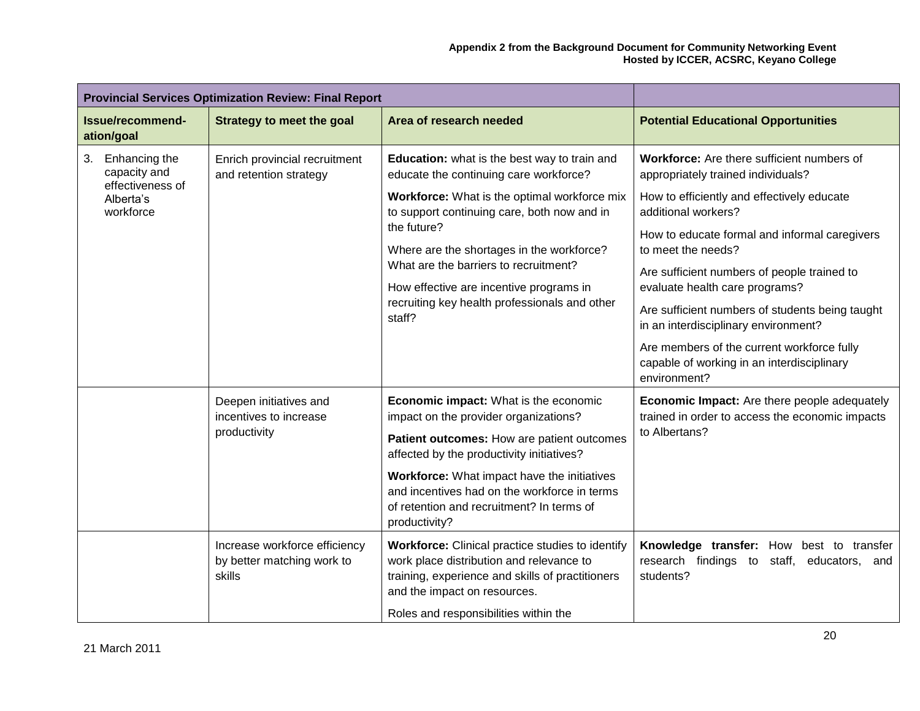|                                                         | <b>Provincial Services Optimization Review: Final Report</b>          |                                                                                                                                                                                         |                                                                                                          |
|---------------------------------------------------------|-----------------------------------------------------------------------|-----------------------------------------------------------------------------------------------------------------------------------------------------------------------------------------|----------------------------------------------------------------------------------------------------------|
| Issue/recommend-<br>ation/goal                          | <b>Strategy to meet the goal</b>                                      | Area of research needed                                                                                                                                                                 | <b>Potential Educational Opportunities</b>                                                               |
| 3.<br>Enhancing the<br>capacity and<br>effectiveness of | Enrich provincial recruitment<br>and retention strategy               | Education: what is the best way to train and<br>educate the continuing care workforce?                                                                                                  | Workforce: Are there sufficient numbers of<br>appropriately trained individuals?                         |
| Alberta's<br>workforce                                  |                                                                       | Workforce: What is the optimal workforce mix<br>to support continuing care, both now and in                                                                                             | How to efficiently and effectively educate<br>additional workers?                                        |
|                                                         |                                                                       | the future?<br>Where are the shortages in the workforce?                                                                                                                                | How to educate formal and informal caregivers<br>to meet the needs?                                      |
|                                                         |                                                                       | What are the barriers to recruitment?<br>How effective are incentive programs in                                                                                                        | Are sufficient numbers of people trained to<br>evaluate health care programs?                            |
|                                                         |                                                                       | recruiting key health professionals and other<br>staff?                                                                                                                                 | Are sufficient numbers of students being taught<br>in an interdisciplinary environment?                  |
|                                                         |                                                                       |                                                                                                                                                                                         | Are members of the current workforce fully<br>capable of working in an interdisciplinary<br>environment? |
|                                                         | Deepen initiatives and<br>incentives to increase<br>productivity      | Economic impact: What is the economic<br>impact on the provider organizations?                                                                                                          | Economic Impact: Are there people adequately<br>trained in order to access the economic impacts          |
|                                                         |                                                                       | Patient outcomes: How are patient outcomes<br>affected by the productivity initiatives?                                                                                                 | to Albertans?                                                                                            |
|                                                         |                                                                       | Workforce: What impact have the initiatives<br>and incentives had on the workforce in terms<br>of retention and recruitment? In terms of<br>productivity?                               |                                                                                                          |
|                                                         | Increase workforce efficiency<br>by better matching work to<br>skills | <b>Workforce:</b> Clinical practice studies to identify<br>work place distribution and relevance to<br>training, experience and skills of practitioners<br>and the impact on resources. | Knowledge transfer: How best to transfer<br>research findings to staff, educators,<br>and<br>students?   |
|                                                         |                                                                       | Roles and responsibilities within the                                                                                                                                                   |                                                                                                          |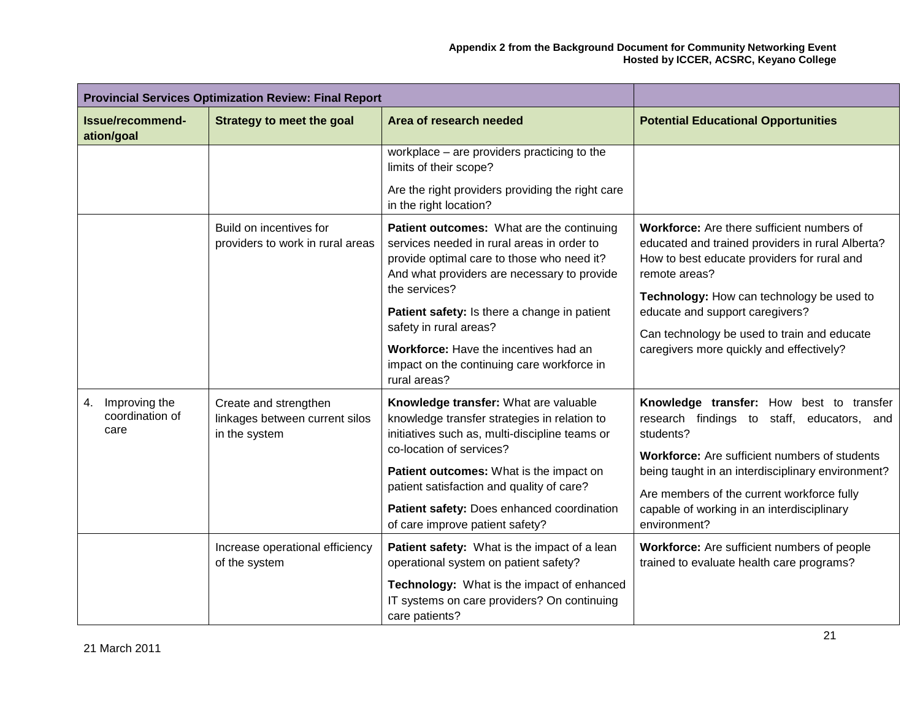| <b>Provincial Services Optimization Review: Final Report</b> |                                                                          |                                                                                                                                                                                                                                                             |                                                                                                                                                                                                                                                         |
|--------------------------------------------------------------|--------------------------------------------------------------------------|-------------------------------------------------------------------------------------------------------------------------------------------------------------------------------------------------------------------------------------------------------------|---------------------------------------------------------------------------------------------------------------------------------------------------------------------------------------------------------------------------------------------------------|
| Issue/recommend-<br>ation/goal                               | <b>Strategy to meet the goal</b>                                         | Area of research needed                                                                                                                                                                                                                                     | <b>Potential Educational Opportunities</b>                                                                                                                                                                                                              |
|                                                              |                                                                          | workplace - are providers practicing to the<br>limits of their scope?                                                                                                                                                                                       |                                                                                                                                                                                                                                                         |
|                                                              |                                                                          | Are the right providers providing the right care<br>in the right location?                                                                                                                                                                                  |                                                                                                                                                                                                                                                         |
|                                                              | Build on incentives for<br>providers to work in rural areas              | Patient outcomes: What are the continuing<br>services needed in rural areas in order to<br>provide optimal care to those who need it?<br>And what providers are necessary to provide<br>the services?                                                       | Workforce: Are there sufficient numbers of<br>educated and trained providers in rural Alberta?<br>How to best educate providers for rural and<br>remote areas?                                                                                          |
|                                                              |                                                                          | Patient safety: Is there a change in patient<br>safety in rural areas?                                                                                                                                                                                      | Technology: How can technology be used to<br>educate and support caregivers?<br>Can technology be used to train and educate                                                                                                                             |
|                                                              |                                                                          | Workforce: Have the incentives had an<br>impact on the continuing care workforce in<br>rural areas?                                                                                                                                                         | caregivers more quickly and effectively?                                                                                                                                                                                                                |
| Improving the<br>4.<br>coordination of<br>care               | Create and strengthen<br>linkages between current silos<br>in the system | Knowledge transfer: What are valuable<br>knowledge transfer strategies in relation to<br>initiatives such as, multi-discipline teams or<br>co-location of services?<br>Patient outcomes: What is the impact on<br>patient satisfaction and quality of care? | Knowledge transfer: How best to transfer<br>research findings to staff, educators, and<br>students?<br>Workforce: Are sufficient numbers of students<br>being taught in an interdisciplinary environment?<br>Are members of the current workforce fully |
|                                                              |                                                                          | Patient safety: Does enhanced coordination<br>of care improve patient safety?                                                                                                                                                                               | capable of working in an interdisciplinary<br>environment?                                                                                                                                                                                              |
|                                                              | Increase operational efficiency<br>of the system                         | Patient safety: What is the impact of a lean<br>operational system on patient safety?                                                                                                                                                                       | Workforce: Are sufficient numbers of people<br>trained to evaluate health care programs?                                                                                                                                                                |
|                                                              |                                                                          | Technology: What is the impact of enhanced<br>IT systems on care providers? On continuing<br>care patients?                                                                                                                                                 |                                                                                                                                                                                                                                                         |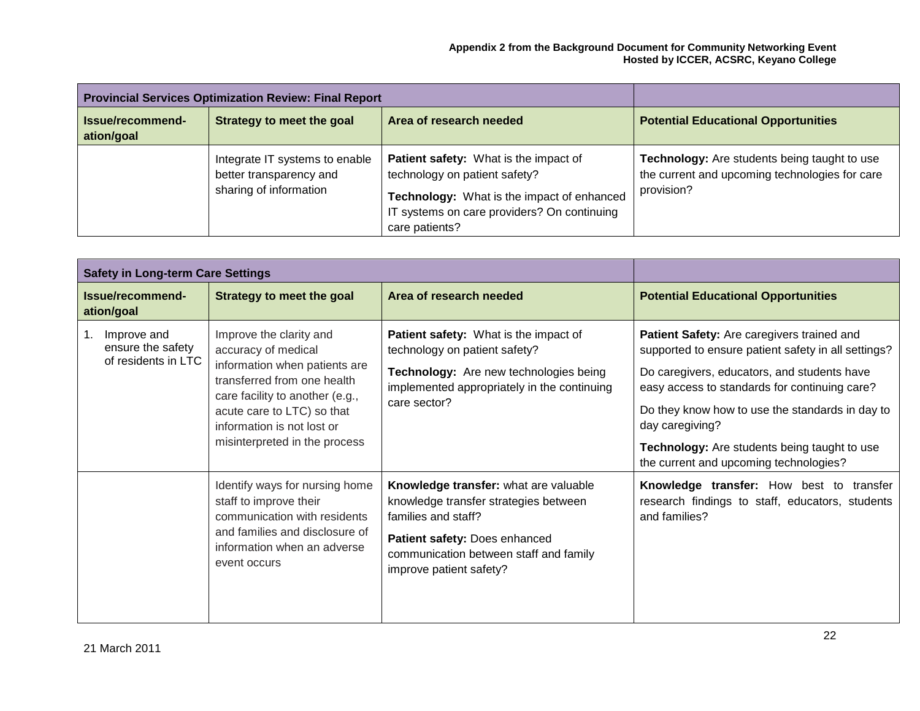|                                | <b>Provincial Services Optimization Review: Final Report</b>                        |                                                                                                                                                                                              |                                                                                                              |
|--------------------------------|-------------------------------------------------------------------------------------|----------------------------------------------------------------------------------------------------------------------------------------------------------------------------------------------|--------------------------------------------------------------------------------------------------------------|
| Issue/recommend-<br>ation/goal | Strategy to meet the goal                                                           | Area of research needed                                                                                                                                                                      | <b>Potential Educational Opportunities</b>                                                                   |
|                                | Integrate IT systems to enable<br>better transparency and<br>sharing of information | <b>Patient safety:</b> What is the impact of<br>technology on patient safety?<br>Technology: What is the impact of enhanced<br>IT systems on care providers? On continuing<br>care patients? | Technology: Are students being taught to use<br>the current and upcoming technologies for care<br>provision? |

| <b>Safety in Long-term Care Settings</b>                                                                                                                                                                                                         |                                                                                                                                                                                 |                                                                                                                                                                                                                                                      |                                                                                                              |
|--------------------------------------------------------------------------------------------------------------------------------------------------------------------------------------------------------------------------------------------------|---------------------------------------------------------------------------------------------------------------------------------------------------------------------------------|------------------------------------------------------------------------------------------------------------------------------------------------------------------------------------------------------------------------------------------------------|--------------------------------------------------------------------------------------------------------------|
| Issue/recommend-<br>ation/goal                                                                                                                                                                                                                   | Strategy to meet the goal                                                                                                                                                       | Area of research needed                                                                                                                                                                                                                              | <b>Potential Educational Opportunities</b>                                                                   |
| Improve the clarity and<br>1.<br>Improve and<br>ensure the safety<br>accuracy of medical<br>of residents in LTC<br>information when patients are<br>transferred from one health<br>care facility to another (e.g.,<br>acute care to LTC) so that | Patient safety: What is the impact of<br>technology on patient safety?<br>Technology: Are new technologies being<br>implemented appropriately in the continuing<br>care sector? | Patient Safety: Are caregivers trained and<br>supported to ensure patient safety in all settings?<br>Do caregivers, educators, and students have<br>easy access to standards for continuing care?<br>Do they know how to use the standards in day to |                                                                                                              |
|                                                                                                                                                                                                                                                  | information is not lost or<br>misinterpreted in the process                                                                                                                     |                                                                                                                                                                                                                                                      | day caregiving?<br>Technology: Are students being taught to use<br>the current and upcoming technologies?    |
|                                                                                                                                                                                                                                                  | Identify ways for nursing home<br>staff to improve their<br>communication with residents<br>and families and disclosure of<br>information when an adverse<br>event occurs       | Knowledge transfer: what are valuable<br>knowledge transfer strategies between<br>families and staff?<br>Patient safety: Does enhanced<br>communication between staff and family<br>improve patient safety?                                          | Knowledge transfer: How best to transfer<br>research findings to staff, educators, students<br>and families? |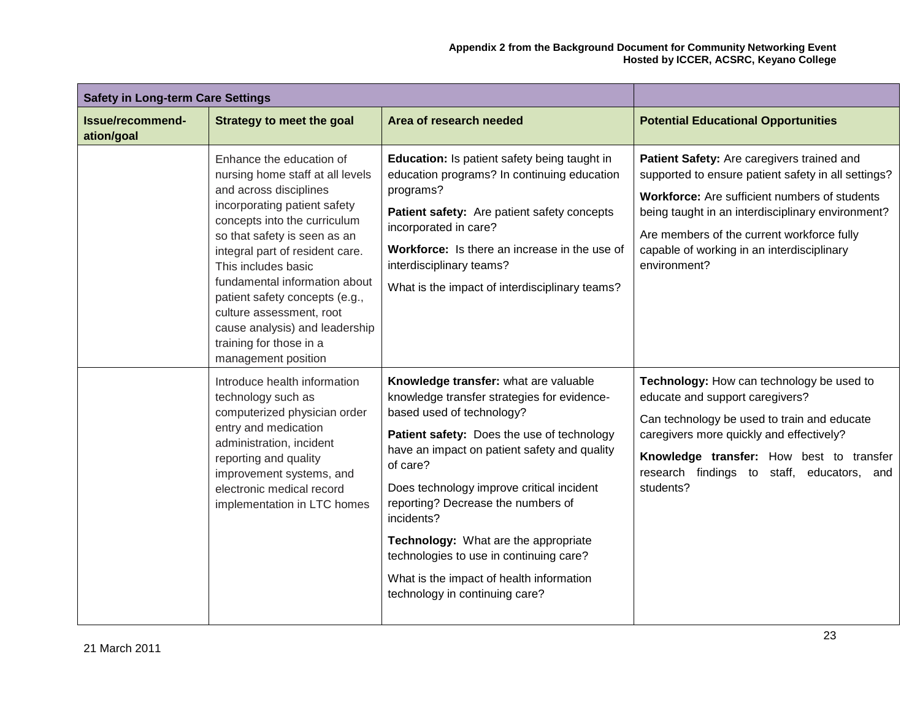| <b>Safety in Long-term Care Settings</b> |                                                                                                                                                                                                                                                                                                                                                                                                                                     |                                                                                                                                                                                                                                                                                                                                                                                                                                                                                               |                                                                                                                                                                                                                                                                                                                     |
|------------------------------------------|-------------------------------------------------------------------------------------------------------------------------------------------------------------------------------------------------------------------------------------------------------------------------------------------------------------------------------------------------------------------------------------------------------------------------------------|-----------------------------------------------------------------------------------------------------------------------------------------------------------------------------------------------------------------------------------------------------------------------------------------------------------------------------------------------------------------------------------------------------------------------------------------------------------------------------------------------|---------------------------------------------------------------------------------------------------------------------------------------------------------------------------------------------------------------------------------------------------------------------------------------------------------------------|
| Issue/recommend-<br>ation/goal           | <b>Strategy to meet the goal</b>                                                                                                                                                                                                                                                                                                                                                                                                    | Area of research needed                                                                                                                                                                                                                                                                                                                                                                                                                                                                       | <b>Potential Educational Opportunities</b>                                                                                                                                                                                                                                                                          |
|                                          | Enhance the education of<br>nursing home staff at all levels<br>and across disciplines<br>incorporating patient safety<br>concepts into the curriculum<br>so that safety is seen as an<br>integral part of resident care.<br>This includes basic<br>fundamental information about<br>patient safety concepts (e.g.,<br>culture assessment, root<br>cause analysis) and leadership<br>training for those in a<br>management position | <b>Education:</b> Is patient safety being taught in<br>education programs? In continuing education<br>programs?<br>Patient safety: Are patient safety concepts<br>incorporated in care?<br>Workforce: Is there an increase in the use of<br>interdisciplinary teams?<br>What is the impact of interdisciplinary teams?                                                                                                                                                                        | Patient Safety: Are caregivers trained and<br>supported to ensure patient safety in all settings?<br>Workforce: Are sufficient numbers of students<br>being taught in an interdisciplinary environment?<br>Are members of the current workforce fully<br>capable of working in an interdisciplinary<br>environment? |
|                                          | Introduce health information<br>technology such as<br>computerized physician order<br>entry and medication<br>administration, incident<br>reporting and quality<br>improvement systems, and<br>electronic medical record<br>implementation in LTC homes                                                                                                                                                                             | Knowledge transfer: what are valuable<br>knowledge transfer strategies for evidence-<br>based used of technology?<br>Patient safety: Does the use of technology<br>have an impact on patient safety and quality<br>of care?<br>Does technology improve critical incident<br>reporting? Decrease the numbers of<br>incidents?<br>Technology: What are the appropriate<br>technologies to use in continuing care?<br>What is the impact of health information<br>technology in continuing care? | Technology: How can technology be used to<br>educate and support caregivers?<br>Can technology be used to train and educate<br>caregivers more quickly and effectively?<br>Knowledge transfer: How best to transfer<br>research findings to staff, educators,<br>and<br>students?                                   |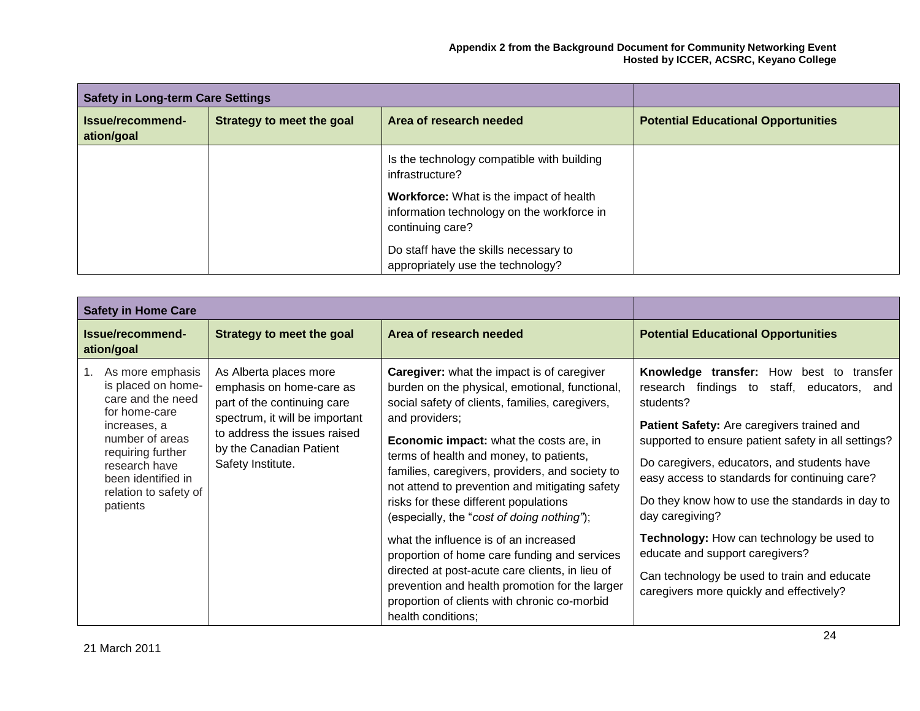| <b>Safety in Long-term Care Settings</b> |                           |                                                                                                                  |                                            |
|------------------------------------------|---------------------------|------------------------------------------------------------------------------------------------------------------|--------------------------------------------|
| Issue/recommend-<br>ation/goal           | Strategy to meet the goal | Area of research needed                                                                                          | <b>Potential Educational Opportunities</b> |
|                                          |                           | Is the technology compatible with building<br>infrastructure?                                                    |                                            |
|                                          |                           | <b>Workforce:</b> What is the impact of health<br>information technology on the workforce in<br>continuing care? |                                            |
|                                          |                           | Do staff have the skills necessary to<br>appropriately use the technology?                                       |                                            |

| <b>Safety in Home Care</b>                                                                                                                                                                                       |                                                                                                                                                                                                     |                                                                                                                                                                                                                                                                                                                                                                                                                                                                                                                                                                                                                                                                                                                                |                                                                                                                                                                                                                                                                                                                                                                                                                                                                                                                                                                               |
|------------------------------------------------------------------------------------------------------------------------------------------------------------------------------------------------------------------|-----------------------------------------------------------------------------------------------------------------------------------------------------------------------------------------------------|--------------------------------------------------------------------------------------------------------------------------------------------------------------------------------------------------------------------------------------------------------------------------------------------------------------------------------------------------------------------------------------------------------------------------------------------------------------------------------------------------------------------------------------------------------------------------------------------------------------------------------------------------------------------------------------------------------------------------------|-------------------------------------------------------------------------------------------------------------------------------------------------------------------------------------------------------------------------------------------------------------------------------------------------------------------------------------------------------------------------------------------------------------------------------------------------------------------------------------------------------------------------------------------------------------------------------|
| Issue/recommend-<br>ation/goal                                                                                                                                                                                   | <b>Strategy to meet the goal</b>                                                                                                                                                                    | Area of research needed                                                                                                                                                                                                                                                                                                                                                                                                                                                                                                                                                                                                                                                                                                        | <b>Potential Educational Opportunities</b>                                                                                                                                                                                                                                                                                                                                                                                                                                                                                                                                    |
| As more emphasis<br>is placed on home-<br>care and the need<br>for home-care<br>increases, a<br>number of areas<br>requiring further<br>research have<br>been identified in<br>relation to safety of<br>patients | As Alberta places more<br>emphasis on home-care as<br>part of the continuing care<br>spectrum, it will be important<br>to address the issues raised<br>by the Canadian Patient<br>Safety Institute. | <b>Caregiver:</b> what the impact is of caregiver<br>burden on the physical, emotional, functional,<br>social safety of clients, families, caregivers,<br>and providers;<br>Economic impact: what the costs are, in<br>terms of health and money, to patients,<br>families, caregivers, providers, and society to<br>not attend to prevention and mitigating safety<br>risks for these different populations<br>(especially, the "cost of doing nothing");<br>what the influence is of an increased<br>proportion of home care funding and services<br>directed at post-acute care clients, in lieu of<br>prevention and health promotion for the larger<br>proportion of clients with chronic co-morbid<br>health conditions; | <b>Knowledge transfer:</b> How best to transfer<br>research findings to<br>staff, educators,<br>and<br>students?<br>Patient Safety: Are caregivers trained and<br>supported to ensure patient safety in all settings?<br>Do caregivers, educators, and students have<br>easy access to standards for continuing care?<br>Do they know how to use the standards in day to<br>day caregiving?<br><b>Technology:</b> How can technology be used to<br>educate and support caregivers?<br>Can technology be used to train and educate<br>caregivers more quickly and effectively? |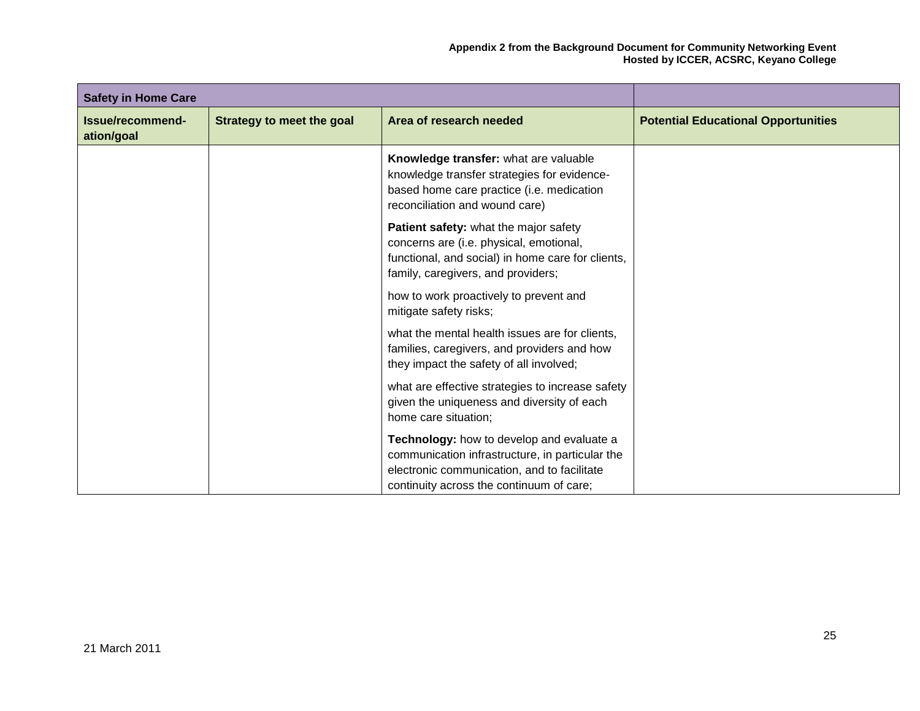| <b>Safety in Home Care</b>     |                                  |                                                                                                                                                                                         |                                            |
|--------------------------------|----------------------------------|-----------------------------------------------------------------------------------------------------------------------------------------------------------------------------------------|--------------------------------------------|
| Issue/recommend-<br>ation/goal | <b>Strategy to meet the goal</b> | Area of research needed                                                                                                                                                                 | <b>Potential Educational Opportunities</b> |
|                                |                                  | Knowledge transfer: what are valuable<br>knowledge transfer strategies for evidence-<br>based home care practice (i.e. medication<br>reconciliation and wound care)                     |                                            |
|                                |                                  | Patient safety: what the major safety<br>concerns are (i.e. physical, emotional,<br>functional, and social) in home care for clients,<br>family, caregivers, and providers;             |                                            |
|                                |                                  | how to work proactively to prevent and<br>mitigate safety risks;                                                                                                                        |                                            |
|                                |                                  | what the mental health issues are for clients,<br>families, caregivers, and providers and how<br>they impact the safety of all involved;                                                |                                            |
|                                |                                  | what are effective strategies to increase safety<br>given the uniqueness and diversity of each<br>home care situation;                                                                  |                                            |
|                                |                                  | Technology: how to develop and evaluate a<br>communication infrastructure, in particular the<br>electronic communication, and to facilitate<br>continuity across the continuum of care; |                                            |